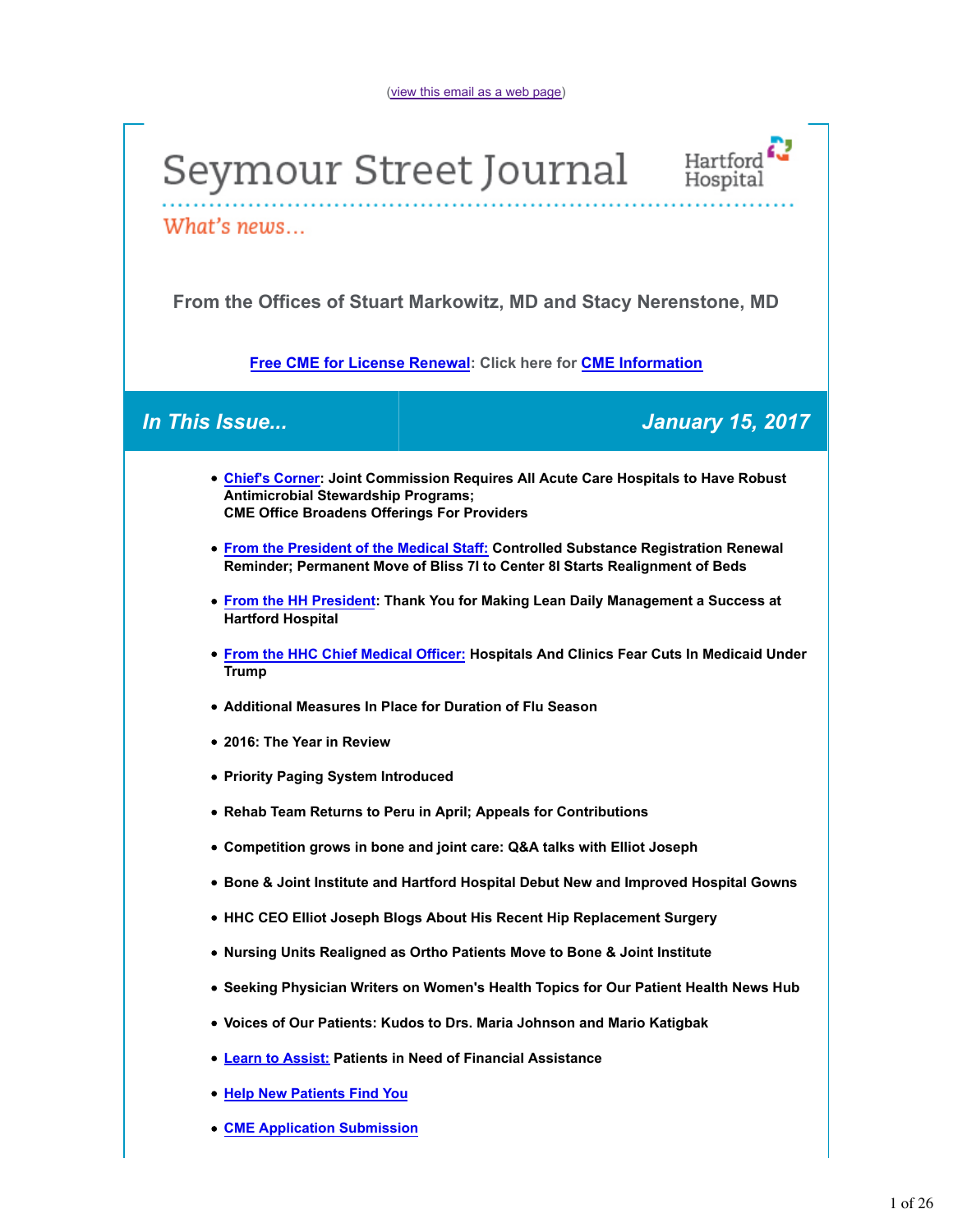



What's news...

**From the Offices of Stuart Markowitz, MD and Stacy Nerenstone, MD**

**Free CME for License Renewal: Click here for CME Information**

*In This Issue... January 15, 2017*

- **Chief's Corner: Joint Commission Requires All Acute Care Hospitals to Have Robust Antimicrobial Stewardship Programs; CME Office Broadens Offerings For Providers**
- **From the President of the Medical Staff: Controlled Substance Registration Renewal Reminder; Permanent Move of Bliss 7I to Center 8I Starts Realignment of Beds**
- **From the HH President: Thank You for Making Lean Daily Management a Success at Hartford Hospital**
- **From the HHC Chief Medical Officer: Hospitals And Clinics Fear Cuts In Medicaid Under Trump**
- **Additional Measures In Place for Duration of Flu Season**
- **2016: The Year in Review**
- **Priority Paging System Introduced**
- **Rehab Team Returns to Peru in April; Appeals for Contributions**
- **Competition grows in bone and joint care: Q&A talks with Elliot Joseph**
- **Bone & Joint Institute and Hartford Hospital Debut New and Improved Hospital Gowns**
- **HHC CEO Elliot Joseph Blogs About His Recent Hip Replacement Surgery**
- **Nursing Units Realigned as Ortho Patients Move to Bone & Joint Institute**
- **Seeking Physician Writers on Women's Health Topics for Our Patient Health News Hub**
- **Voices of Our Patients: Kudos to Drs. Maria Johnson and Mario Katigbak**
- **Learn to Assist: Patients in Need of Financial Assistance**
- **Help New Patients Find You**
- **CME Application Submission**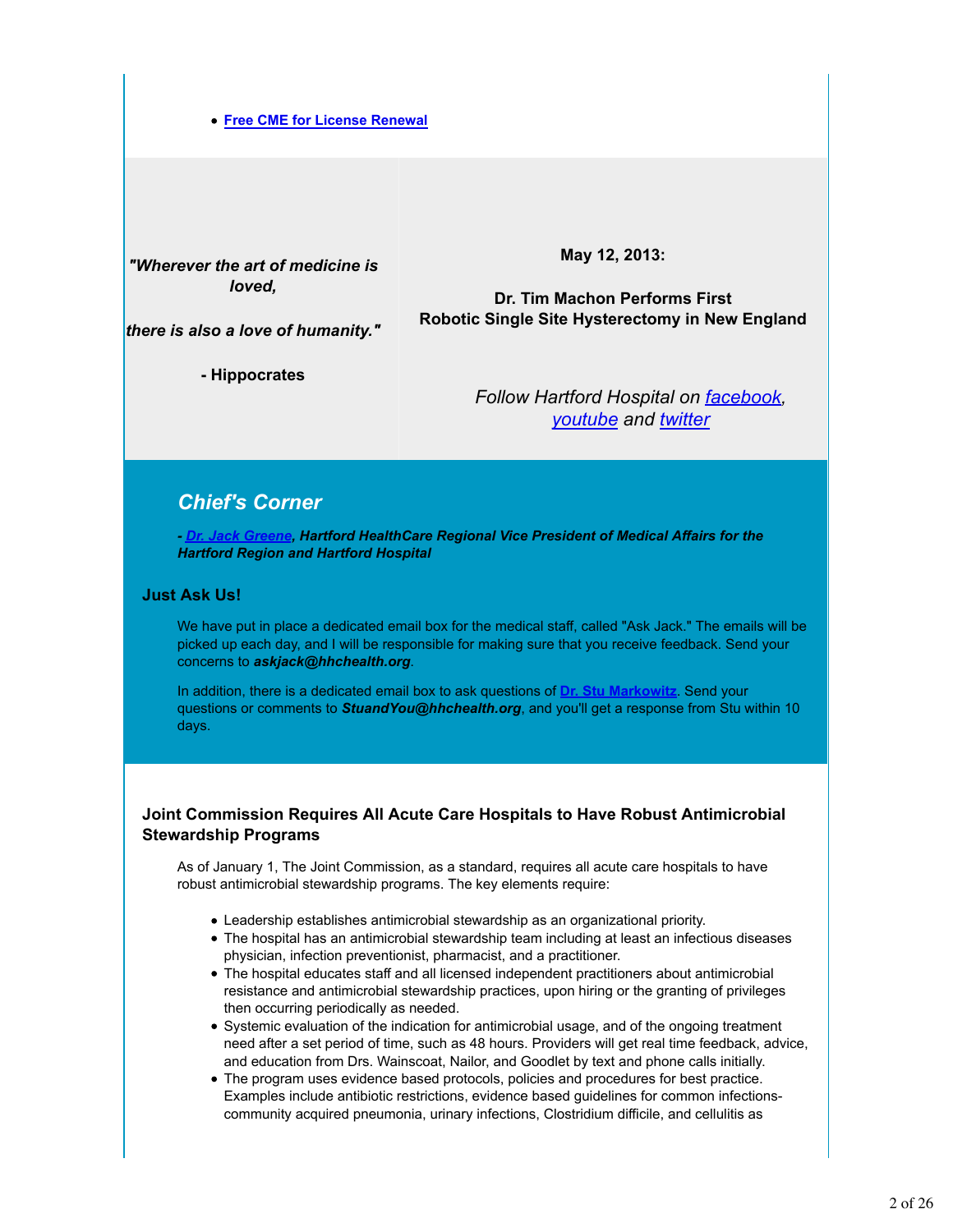#### **Free CME for License Renewal**

*"Wherever the art of medicine is loved,*

**May 12, 2013:**

**Dr. Tim Machon Performs First Robotic Single Site Hysterectomy in New England**

*there is also a love of humanity."*

**- Hippocrates**

*Follow Hartford Hospital on facebook, youtube and twitter*

# *Chief's Corner*

*- Dr. Jack Greene, Hartford HealthCare Regional Vice President of Medical Affairs for the Hartford Region and Hartford Hospital*

# **Just Ask Us!**

We have put in place a dedicated email box for the medical staff, called "Ask Jack." The emails will be picked up each day, and I will be responsible for making sure that you receive feedback. Send your concerns to *askjack@hhchealth.org*.

In addition, there is a dedicated email box to ask questions of **Dr. Stu Markowitz**. Send your questions or comments to *StuandYou@hhchealth.org*, and you'll get a response from Stu within 10 days.

# **Joint Commission Requires All Acute Care Hospitals to Have Robust Antimicrobial Stewardship Programs**

As of January 1, The Joint Commission, as a standard, requires all acute care hospitals to have robust antimicrobial stewardship programs. The key elements require:

- Leadership establishes antimicrobial stewardship as an organizational priority.
- The hospital has an antimicrobial stewardship team including at least an infectious diseases physician, infection preventionist, pharmacist, and a practitioner.
- The hospital educates staff and all licensed independent practitioners about antimicrobial resistance and antimicrobial stewardship practices, upon hiring or the granting of privileges then occurring periodically as needed.
- Systemic evaluation of the indication for antimicrobial usage, and of the ongoing treatment need after a set period of time, such as 48 hours. Providers will get real time feedback, advice, and education from Drs. Wainscoat, Nailor, and Goodlet by text and phone calls initially.
- The program uses evidence based protocols, policies and procedures for best practice. Examples include antibiotic restrictions, evidence based guidelines for common infectionscommunity acquired pneumonia, urinary infections, Clostridium difficile, and cellulitis as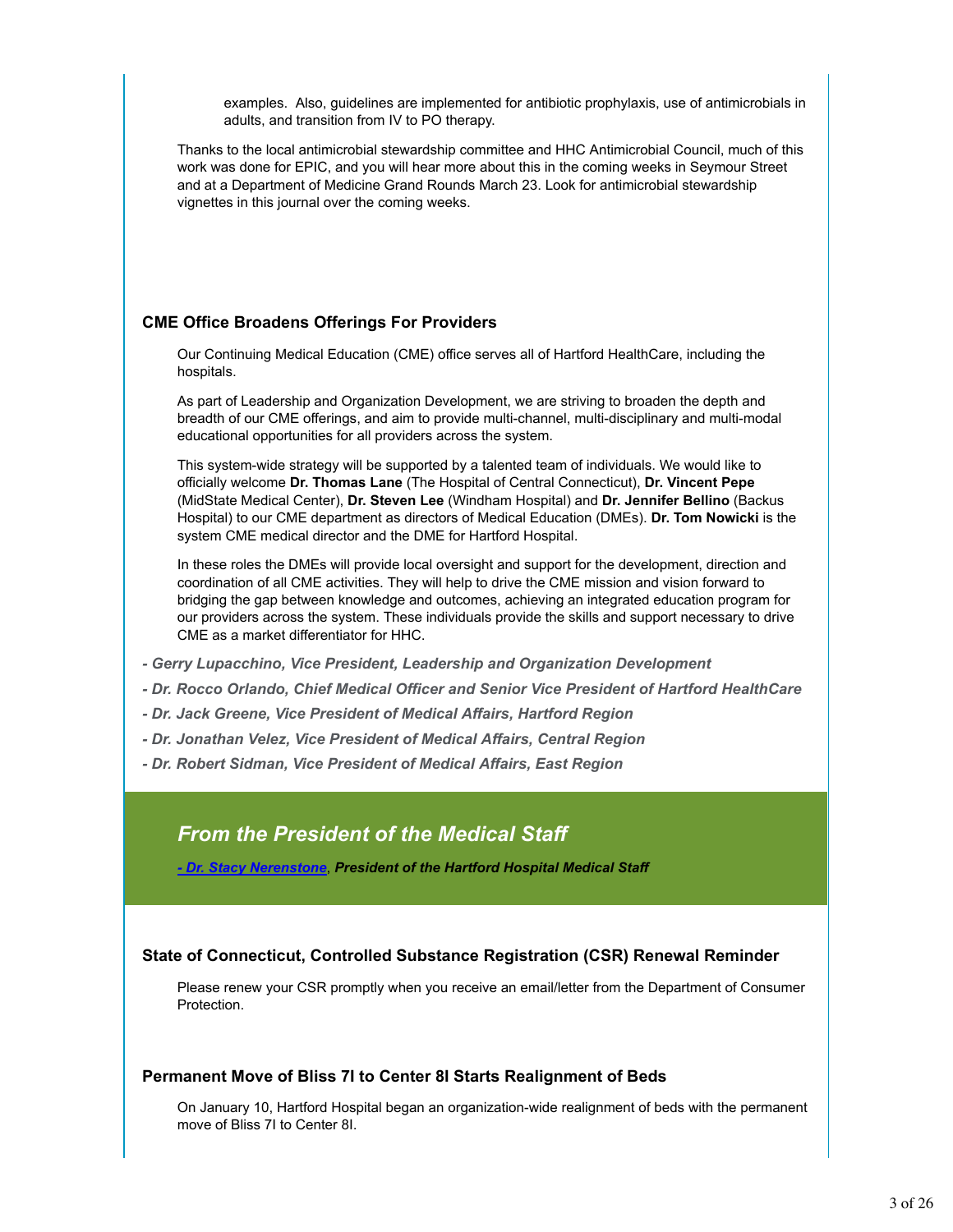examples. Also, guidelines are implemented for antibiotic prophylaxis, use of antimicrobials in adults, and transition from IV to PO therapy.

Thanks to the local antimicrobial stewardship committee and HHC Antimicrobial Council, much of this work was done for EPIC, and you will hear more about this in the coming weeks in Seymour Street and at a Department of Medicine Grand Rounds March 23. Look for antimicrobial stewardship vignettes in this journal over the coming weeks.

# **CME Office Broadens Offerings For Providers**

Our Continuing Medical Education (CME) office serves all of Hartford HealthCare, including the hospitals.

As part of Leadership and Organization Development, we are striving to broaden the depth and breadth of our CME offerings, and aim to provide multi-channel, multi-disciplinary and multi-modal educational opportunities for all providers across the system.

This system-wide strategy will be supported by a talented team of individuals. We would like to officially welcome **Dr. Thomas Lane** (The Hospital of Central Connecticut), **Dr. Vincent Pepe** (MidState Medical Center), **Dr. Steven Lee** (Windham Hospital) and **Dr. Jennifer Bellino** (Backus Hospital) to our CME department as directors of Medical Education (DMEs). **Dr. Tom Nowicki** is the system CME medical director and the DME for Hartford Hospital.

In these roles the DMEs will provide local oversight and support for the development, direction and coordination of all CME activities. They will help to drive the CME mission and vision forward to bridging the gap between knowledge and outcomes, achieving an integrated education program for our providers across the system. These individuals provide the skills and support necessary to drive CME as a market differentiator for HHC.

- *Gerry Lupacchino, Vice President, Leadership and Organization Development*
- *Dr. Rocco Orlando, Chief Medical Officer and Senior Vice President of Hartford HealthCare*
- *Dr. Jack Greene, Vice President of Medical Affairs, Hartford Region*
- *Dr. Jonathan Velez, Vice President of Medical Affairs, Central Region*
- *Dr. Robert Sidman, Vice President of Medical Affairs, East Region*

# *From the President of the Medical Staff*

*- Dr. Stacy Nerenstone*, *President of the Hartford Hospital Medical Staff*

# **State of Connecticut, Controlled Substance Registration (CSR) Renewal Reminder**

Please renew your CSR promptly when you receive an email/letter from the Department of Consumer Protection.

# **Permanent Move of Bliss 7I to Center 8I Starts Realignment of Beds**

On January 10, Hartford Hospital began an organization-wide realignment of beds with the permanent move of Bliss 7I to Center 8I.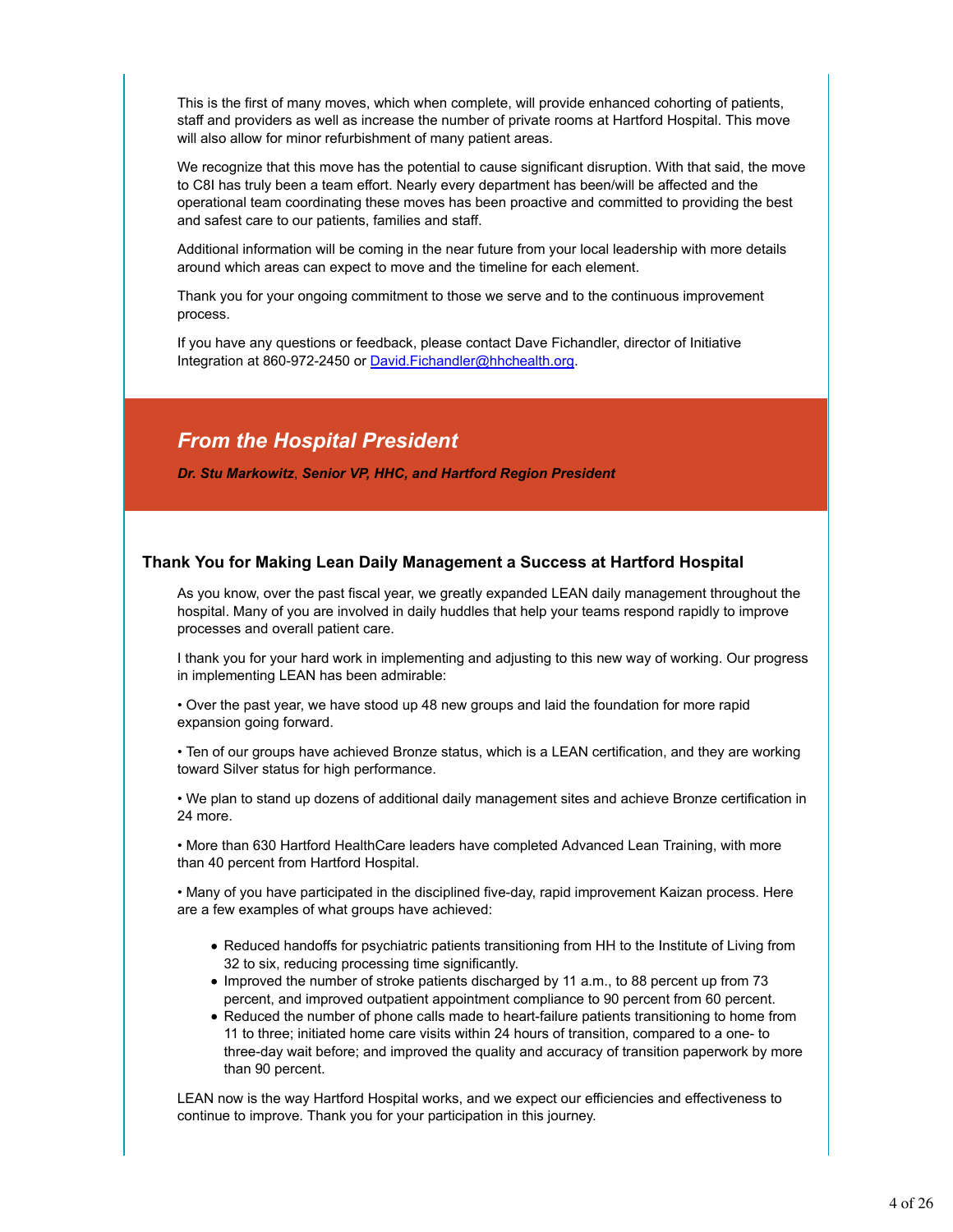This is the first of many moves, which when complete, will provide enhanced cohorting of patients, staff and providers as well as increase the number of private rooms at Hartford Hospital. This move will also allow for minor refurbishment of many patient areas.

We recognize that this move has the potential to cause significant disruption. With that said, the move to C8I has truly been a team effort. Nearly every department has been/will be affected and the operational team coordinating these moves has been proactive and committed to providing the best and safest care to our patients, families and staff.

Additional information will be coming in the near future from your local leadership with more details around which areas can expect to move and the timeline for each element.

Thank you for your ongoing commitment to those we serve and to the continuous improvement process.

If you have any questions or feedback, please contact Dave Fichandler, director of Initiative Integration at 860-972-2450 or David.Fichandler@hhchealth.org.

# *From the Hospital President*

*Dr. Stu Markowitz*, *Senior VP, HHC, and Hartford Region President*

# **Thank You for Making Lean Daily Management a Success at Hartford Hospital**

As you know, over the past fiscal year, we greatly expanded LEAN daily management throughout the hospital. Many of you are involved in daily huddles that help your teams respond rapidly to improve processes and overall patient care.

I thank you for your hard work in implementing and adjusting to this new way of working. Our progress in implementing LEAN has been admirable:

• Over the past year, we have stood up 48 new groups and laid the foundation for more rapid expansion going forward.

• Ten of our groups have achieved Bronze status, which is a LEAN certification, and they are working toward Silver status for high performance.

• We plan to stand up dozens of additional daily management sites and achieve Bronze certification in 24 more.

• More than 630 Hartford HealthCare leaders have completed Advanced Lean Training, with more than 40 percent from Hartford Hospital.

• Many of you have participated in the disciplined five-day, rapid improvement Kaizan process. Here are a few examples of what groups have achieved:

- Reduced handoffs for psychiatric patients transitioning from HH to the Institute of Living from 32 to six, reducing processing time significantly.
- Improved the number of stroke patients discharged by 11 a.m., to 88 percent up from 73 percent, and improved outpatient appointment compliance to 90 percent from 60 percent.
- Reduced the number of phone calls made to heart-failure patients transitioning to home from 11 to three; initiated home care visits within 24 hours of transition, compared to a one- to three-day wait before; and improved the quality and accuracy of transition paperwork by more than 90 percent.

LEAN now is the way Hartford Hospital works, and we expect our efficiencies and effectiveness to continue to improve. Thank you for your participation in this journey.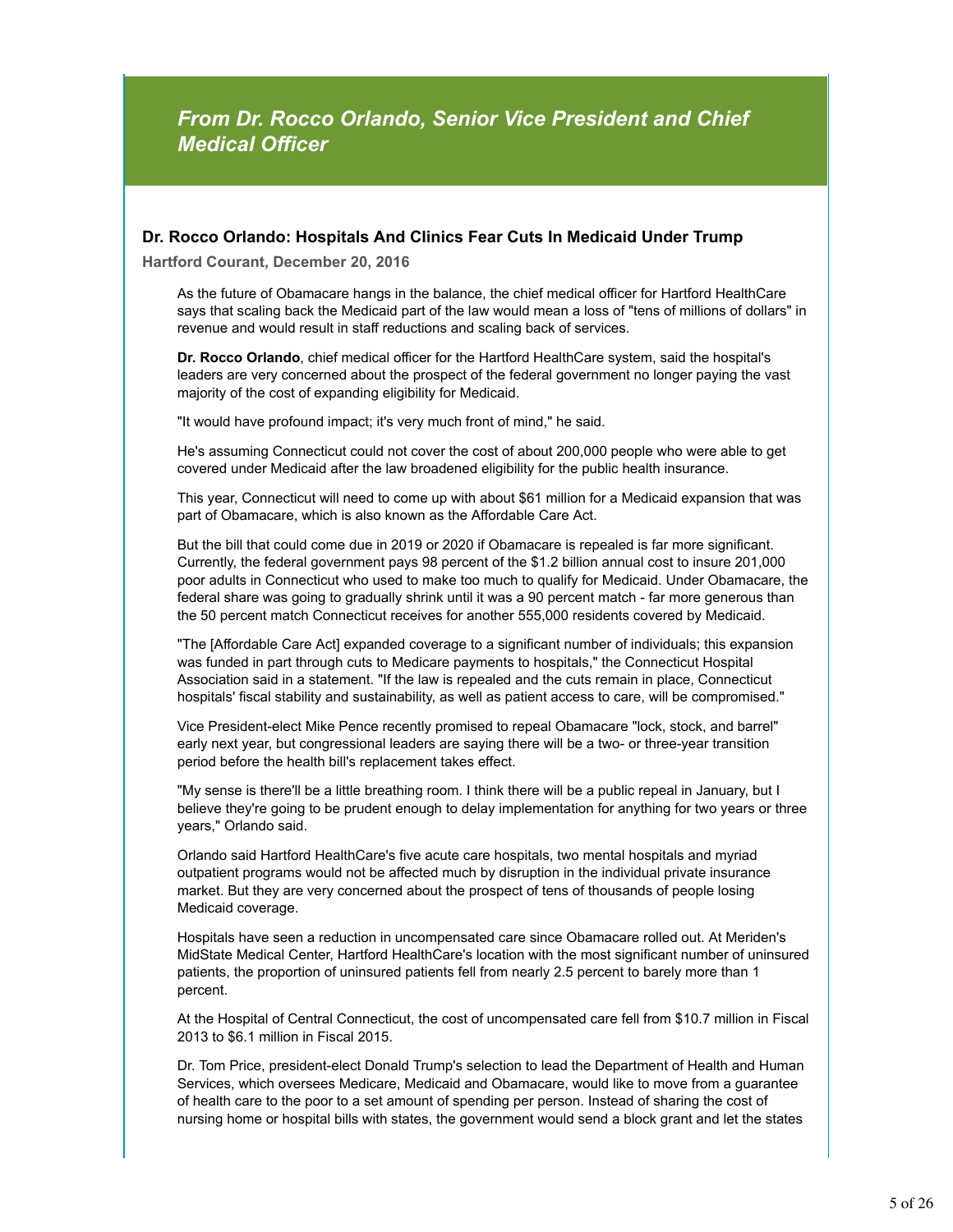# *From Dr. Rocco Orlando, Senior Vice President and Chief Medical Officer*

# **Dr. Rocco Orlando: Hospitals And Clinics Fear Cuts In Medicaid Under Trump**

**Hartford Courant, December 20, 2016**

As the future of Obamacare hangs in the balance, the chief medical officer for Hartford HealthCare says that scaling back the Medicaid part of the law would mean a loss of "tens of millions of dollars" in revenue and would result in staff reductions and scaling back of services.

**Dr. Rocco Orlando**, chief medical officer for the Hartford HealthCare system, said the hospital's leaders are very concerned about the prospect of the federal government no longer paying the vast majority of the cost of expanding eligibility for Medicaid.

"It would have profound impact; it's very much front of mind," he said.

He's assuming Connecticut could not cover the cost of about 200,000 people who were able to get covered under Medicaid after the law broadened eligibility for the public health insurance.

This year, Connecticut will need to come up with about \$61 million for a Medicaid expansion that was part of Obamacare, which is also known as the Affordable Care Act.

But the bill that could come due in 2019 or 2020 if Obamacare is repealed is far more significant. Currently, the federal government pays 98 percent of the \$1.2 billion annual cost to insure 201,000 poor adults in Connecticut who used to make too much to qualify for Medicaid. Under Obamacare, the federal share was going to gradually shrink until it was a 90 percent match - far more generous than the 50 percent match Connecticut receives for another 555,000 residents covered by Medicaid.

"The [Affordable Care Act] expanded coverage to a significant number of individuals; this expansion was funded in part through cuts to Medicare payments to hospitals," the Connecticut Hospital Association said in a statement. "If the law is repealed and the cuts remain in place, Connecticut hospitals' fiscal stability and sustainability, as well as patient access to care, will be compromised."

Vice President-elect Mike Pence recently promised to repeal Obamacare "lock, stock, and barrel" early next year, but congressional leaders are saying there will be a two- or three-year transition period before the health bill's replacement takes effect.

"My sense is there'll be a little breathing room. I think there will be a public repeal in January, but I believe they're going to be prudent enough to delay implementation for anything for two years or three years," Orlando said.

Orlando said Hartford HealthCare's five acute care hospitals, two mental hospitals and myriad outpatient programs would not be affected much by disruption in the individual private insurance market. But they are very concerned about the prospect of tens of thousands of people losing Medicaid coverage.

Hospitals have seen a reduction in uncompensated care since Obamacare rolled out. At Meriden's MidState Medical Center, Hartford HealthCare's location with the most significant number of uninsured patients, the proportion of uninsured patients fell from nearly 2.5 percent to barely more than 1 percent.

At the Hospital of Central Connecticut, the cost of uncompensated care fell from \$10.7 million in Fiscal 2013 to \$6.1 million in Fiscal 2015.

Dr. Tom Price, president-elect Donald Trump's selection to lead the Department of Health and Human Services, which oversees Medicare, Medicaid and Obamacare, would like to move from a guarantee of health care to the poor to a set amount of spending per person. Instead of sharing the cost of nursing home or hospital bills with states, the government would send a block grant and let the states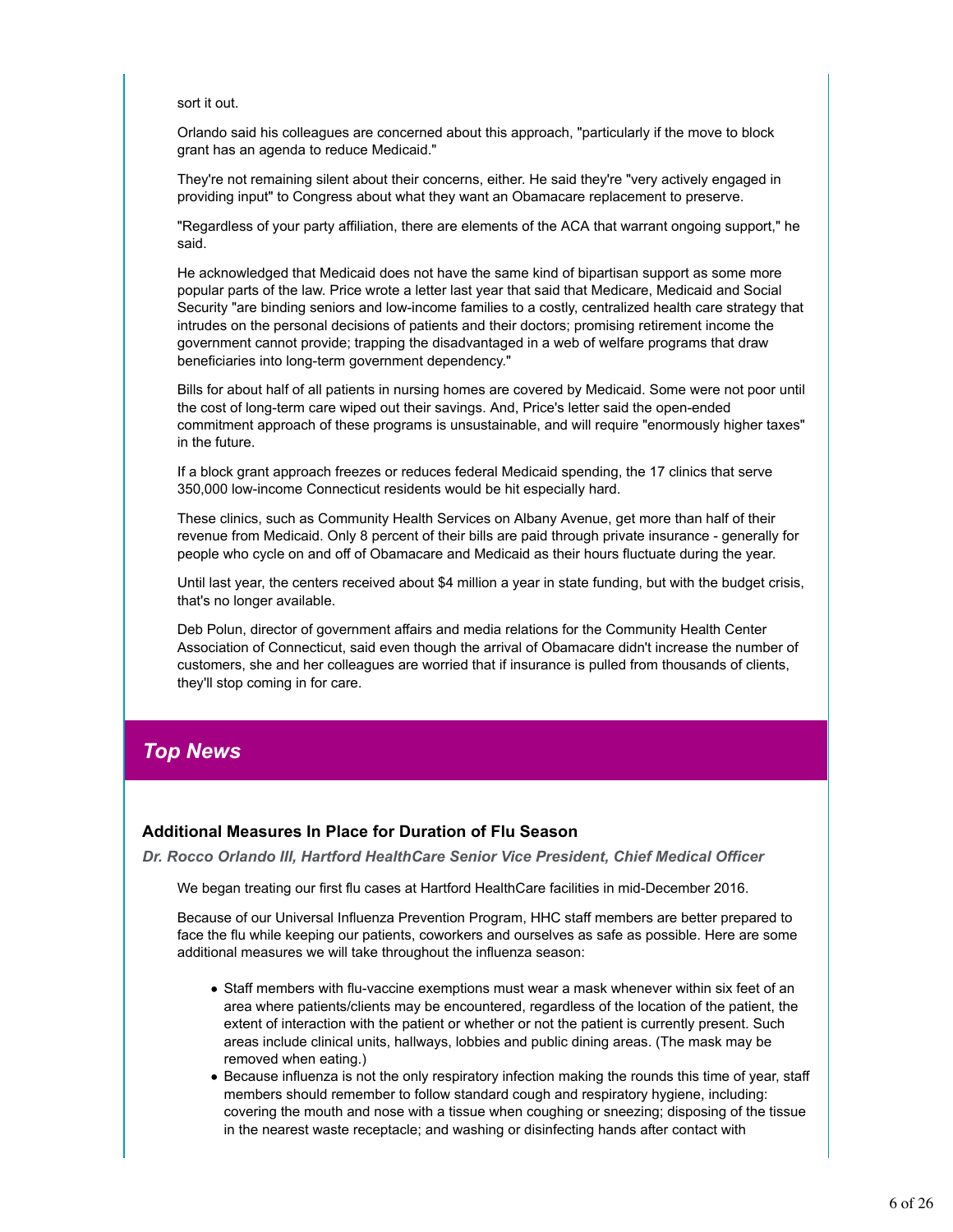sort it out.

Orlando said his colleagues are concerned about this approach, "particularly if the move to block grant has an agenda to reduce Medicaid."

They're not remaining silent about their concerns, either. He said they're "very actively engaged in providing input" to Congress about what they want an Obamacare replacement to preserve.

"Regardless of your party affiliation, there are elements of the ACA that warrant ongoing support," he said.

He acknowledged that Medicaid does not have the same kind of bipartisan support as some more popular parts of the law. Price wrote a letter last year that said that Medicare, Medicaid and Social Security "are binding seniors and low-income families to a costly, centralized health care strategy that intrudes on the personal decisions of patients and their doctors; promising retirement income the government cannot provide; trapping the disadvantaged in a web of welfare programs that draw beneficiaries into long-term government dependency."

Bills for about half of all patients in nursing homes are covered by Medicaid. Some were not poor until the cost of long-term care wiped out their savings. And, Price's letter said the open-ended commitment approach of these programs is unsustainable, and will require "enormously higher taxes" in the future.

If a block grant approach freezes or reduces federal Medicaid spending, the 17 clinics that serve 350,000 low-income Connecticut residents would be hit especially hard.

These clinics, such as Community Health Services on Albany Avenue, get more than half of their revenue from Medicaid. Only 8 percent of their bills are paid through private insurance - generally for people who cycle on and off of Obamacare and Medicaid as their hours fluctuate during the year.

Until last year, the centers received about \$4 million a year in state funding, but with the budget crisis, that's no longer available.

Deb Polun, director of government affairs and media relations for the Community Health Center Association of Connecticut, said even though the arrival of Obamacare didn't increase the number of customers, she and her colleagues are worried that if insurance is pulled from thousands of clients, they'll stop coming in for care.

# *Top News*

# **Additional Measures In Place for Duration of Flu Season**

*Dr. Rocco Orlando III, Hartford HealthCare Senior Vice President, Chief Medical Officer*

We began treating our first flu cases at Hartford HealthCare facilities in mid-December 2016.

Because of our Universal Influenza Prevention Program, HHC staff members are better prepared to face the flu while keeping our patients, coworkers and ourselves as safe as possible. Here are some additional measures we will take throughout the influenza season:

- Staff members with flu-vaccine exemptions must wear a mask whenever within six feet of an area where patients/clients may be encountered, regardless of the location of the patient, the extent of interaction with the patient or whether or not the patient is currently present. Such areas include clinical units, hallways, lobbies and public dining areas. (The mask may be removed when eating.)
- Because influenza is not the only respiratory infection making the rounds this time of year, staff members should remember to follow standard cough and respiratory hygiene, including: covering the mouth and nose with a tissue when coughing or sneezing; disposing of the tissue in the nearest waste receptacle; and washing or disinfecting hands after contact with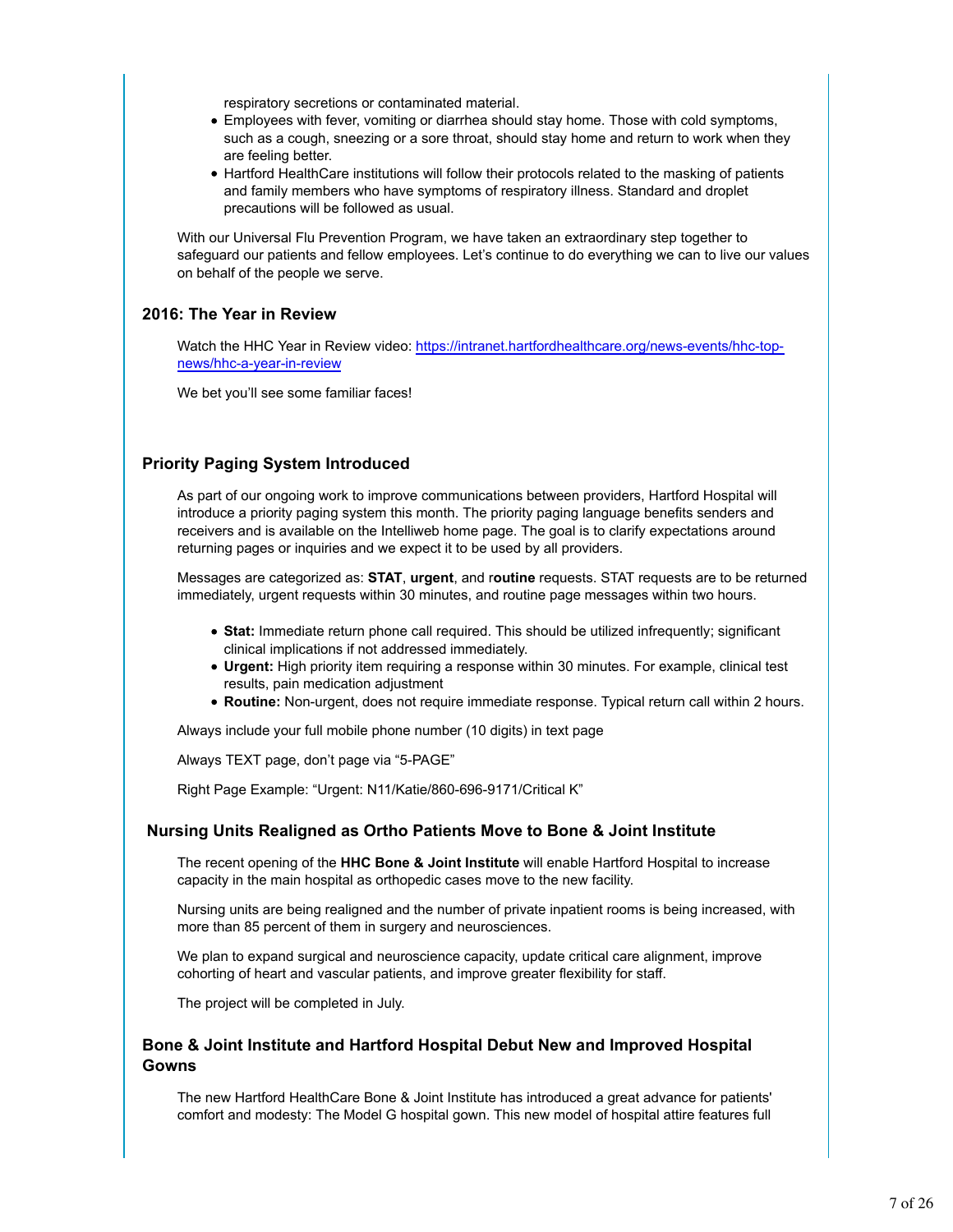respiratory secretions or contaminated material.

- Employees with fever, vomiting or diarrhea should stay home. Those with cold symptoms, such as a cough, sneezing or a sore throat, should stay home and return to work when they are feeling better.
- Hartford HealthCare institutions will follow their protocols related to the masking of patients and family members who have symptoms of respiratory illness. Standard and droplet precautions will be followed as usual.

With our Universal Flu Prevention Program, we have taken an extraordinary step together to safeguard our patients and fellow employees. Let's continue to do everything we can to live our values on behalf of the people we serve.

# **2016: The Year in Review**

Watch the HHC Year in Review video: https://intranet.hartfordhealthcare.org/news-events/hhc-topnews/hhc-a-year-in-review

We bet you'll see some familiar faces!

# **Priority Paging System Introduced**

As part of our ongoing work to improve communications between providers, Hartford Hospital will introduce a priority paging system this month. The priority paging language benefits senders and receivers and is available on the Intelliweb home page. The goal is to clarify expectations around returning pages or inquiries and we expect it to be used by all providers.

Messages are categorized as: **STAT**, **urgent**, and r**outine** requests. STAT requests are to be returned immediately, urgent requests within 30 minutes, and routine page messages within two hours.

- **Stat:** Immediate return phone call required. This should be utilized infrequently; significant clinical implications if not addressed immediately.
- **Urgent:** High priority item requiring a response within 30 minutes. For example, clinical test results, pain medication adjustment
- **Routine:** Non-urgent, does not require immediate response. Typical return call within 2 hours.

Always include your full mobile phone number (10 digits) in text page

Always TEXT page, don't page via "5-PAGE"

Right Page Example: "Urgent: N11/Katie/860-696-9171/Critical K"

# **Nursing Units Realigned as Ortho Patients Move to Bone & Joint Institute**

The recent opening of the **HHC Bone & Joint Institute** will enable Hartford Hospital to increase capacity in the main hospital as orthopedic cases move to the new facility.

Nursing units are being realigned and the number of private inpatient rooms is being increased, with more than 85 percent of them in surgery and neurosciences.

We plan to expand surgical and neuroscience capacity, update critical care alignment, improve cohorting of heart and vascular patients, and improve greater flexibility for staff.

The project will be completed in July.

# **Bone & Joint Institute and Hartford Hospital Debut New and Improved Hospital Gowns**

The new Hartford HealthCare Bone & Joint Institute has introduced a great advance for patients' comfort and modesty: The Model G hospital gown. This new model of hospital attire features full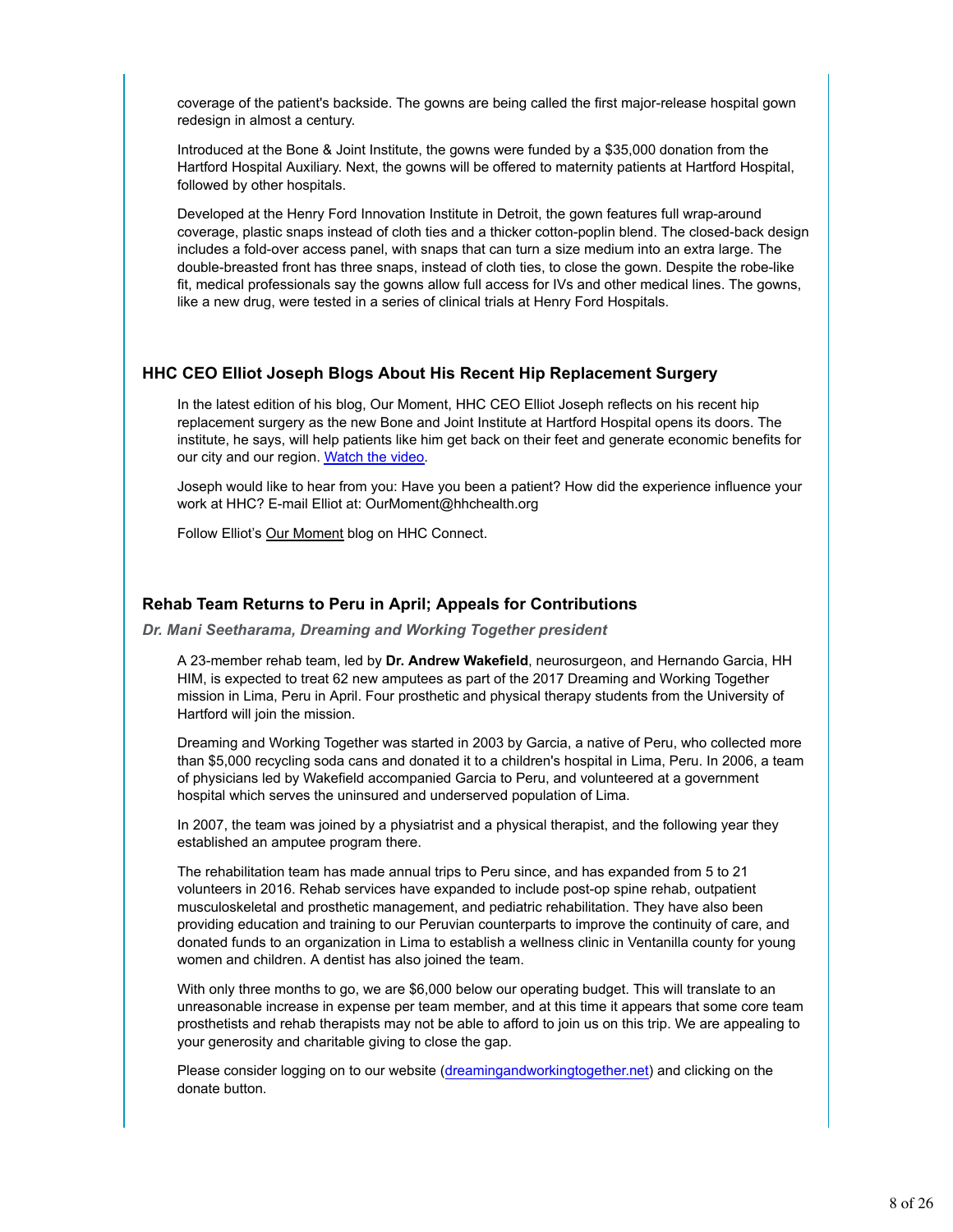coverage of the patient's backside. The gowns are being called the first major-release hospital gown redesign in almost a century.

Introduced at the Bone & Joint Institute, the gowns were funded by a \$35,000 donation from the Hartford Hospital Auxiliary. Next, the gowns will be offered to maternity patients at Hartford Hospital, followed by other hospitals.

Developed at the Henry Ford Innovation Institute in Detroit, the gown features full wrap-around coverage, plastic snaps instead of cloth ties and a thicker cotton-poplin blend. The closed-back design includes a fold-over access panel, with snaps that can turn a size medium into an extra large. The double-breasted front has three snaps, instead of cloth ties, to close the gown. Despite the robe-like fit, medical professionals say the gowns allow full access for IVs and other medical lines. The gowns, like a new drug, were tested in a series of clinical trials at Henry Ford Hospitals.

#### **HHC CEO Elliot Joseph Blogs About His Recent Hip Replacement Surgery**

In the latest edition of his blog, Our Moment, HHC CEO Elliot Joseph reflects on his recent hip replacement surgery as the new Bone and Joint Institute at Hartford Hospital opens its doors. The institute, he says, will help patients like him get back on their feet and generate economic benefits for our city and our region. Watch the video.

Joseph would like to hear from you: Have you been a patient? How did the experience influence your work at HHC? E-mail Elliot at: OurMoment@hhchealth.org

Follow Elliot's Our Moment blog on HHC Connect.

#### **Rehab Team Returns to Peru in April; Appeals for Contributions**

*Dr. Mani Seetharama, Dreaming and Working Together president*

A 23-member rehab team, led by **Dr. Andrew Wakefield**, neurosurgeon, and Hernando Garcia, HH HIM, is expected to treat 62 new amputees as part of the 2017 Dreaming and Working Together mission in Lima, Peru in April. Four prosthetic and physical therapy students from the University of Hartford will join the mission.

Dreaming and Working Together was started in 2003 by Garcia, a native of Peru, who collected more than \$5,000 recycling soda cans and donated it to a children's hospital in Lima, Peru. In 2006, a team of physicians led by Wakefield accompanied Garcia to Peru, and volunteered at a government hospital which serves the uninsured and underserved population of Lima.

In 2007, the team was joined by a physiatrist and a physical therapist, and the following year they established an amputee program there.

The rehabilitation team has made annual trips to Peru since, and has expanded from 5 to 21 volunteers in 2016. Rehab services have expanded to include post-op spine rehab, outpatient musculoskeletal and prosthetic management, and pediatric rehabilitation. They have also been providing education and training to our Peruvian counterparts to improve the continuity of care, and donated funds to an organization in Lima to establish a wellness clinic in Ventanilla county for young women and children. A dentist has also joined the team.

With only three months to go, we are \$6,000 below our operating budget. This will translate to an unreasonable increase in expense per team member, and at this time it appears that some core team prosthetists and rehab therapists may not be able to afford to join us on this trip. We are appealing to your generosity and charitable giving to close the gap.

Please consider logging on to our website (dreamingandworkingtogether.net) and clicking on the donate button.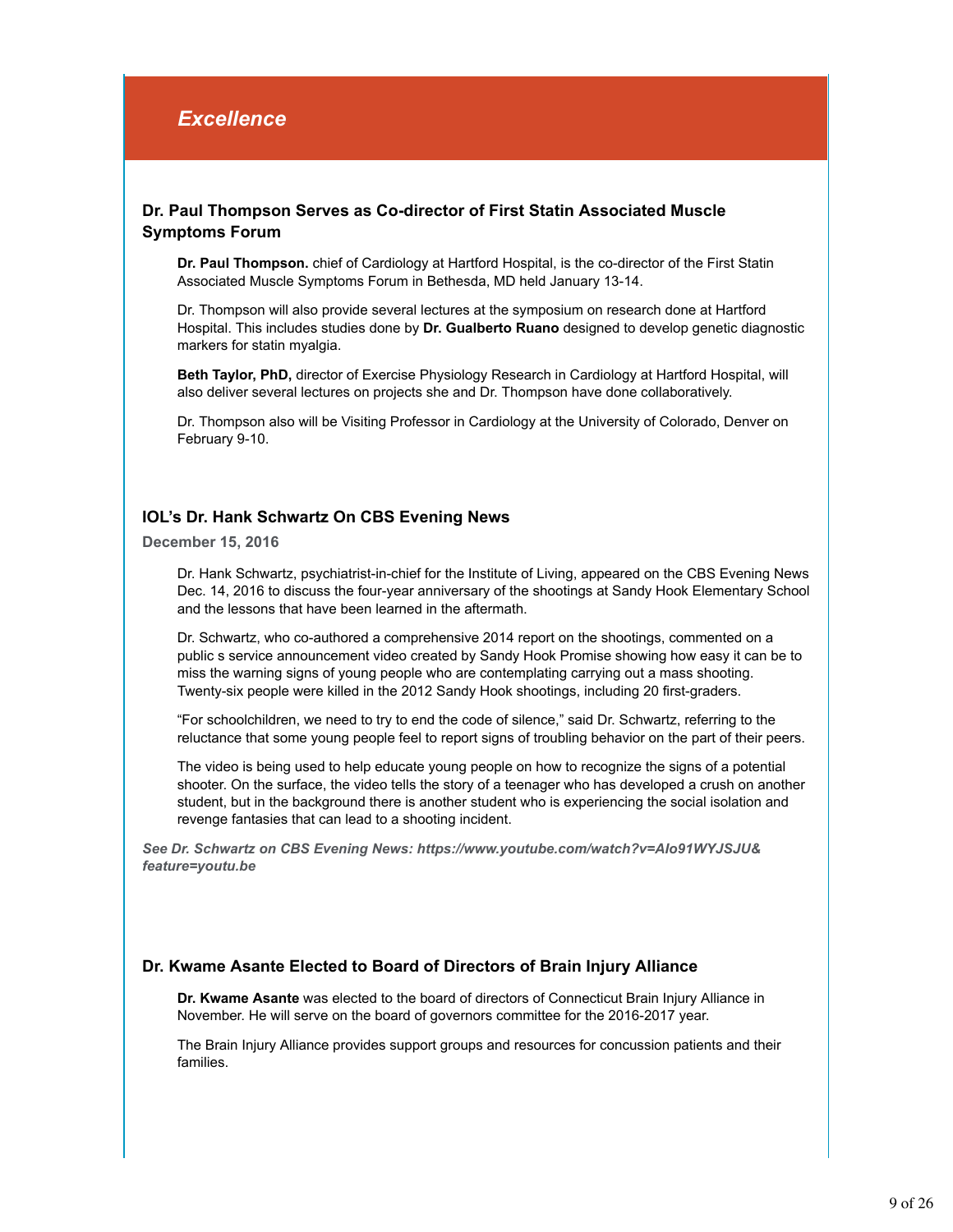# *Excellence*

# **Dr. Paul Thompson Serves as Co-director of First Statin Associated Muscle Symptoms Forum**

**Dr. Paul Thompson.** chief of Cardiology at Hartford Hospital, is the co-director of the First Statin Associated Muscle Symptoms Forum in Bethesda, MD held January 13-14.

Dr. Thompson will also provide several lectures at the symposium on research done at Hartford Hospital. This includes studies done by **Dr. Gualberto Ruano** designed to develop genetic diagnostic markers for statin myalgia.

**Beth Taylor, PhD,** director of Exercise Physiology Research in Cardiology at Hartford Hospital, will also deliver several lectures on projects she and Dr. Thompson have done collaboratively.

Dr. Thompson also will be Visiting Professor in Cardiology at the University of Colorado, Denver on February 9-10.

# **IOL's Dr. Hank Schwartz On CBS Evening News**

**December 15, 2016**

Dr. Hank Schwartz, psychiatrist-in-chief for the Institute of Living, appeared on the CBS Evening News Dec. 14, 2016 to discuss the four-year anniversary of the shootings at Sandy Hook Elementary School and the lessons that have been learned in the aftermath.

Dr. Schwartz, who co-authored a comprehensive 2014 report on the shootings, commented on a public s service announcement video created by Sandy Hook Promise showing how easy it can be to miss the warning signs of young people who are contemplating carrying out a mass shooting. Twenty-six people were killed in the 2012 Sandy Hook shootings, including 20 first-graders.

"For schoolchildren, we need to try to end the code of silence," said Dr. Schwartz, referring to the reluctance that some young people feel to report signs of troubling behavior on the part of their peers.

The video is being used to help educate young people on how to recognize the signs of a potential shooter. On the surface, the video tells the story of a teenager who has developed a crush on another student, but in the background there is another student who is experiencing the social isolation and revenge fantasies that can lead to a shooting incident.

*See Dr. Schwartz on CBS Evening News: https://www.youtube.com/watch?v=AIo91WYJSJU& feature=youtu.be*

# **Dr. Kwame Asante Elected to Board of Directors of Brain Injury Alliance**

**Dr. Kwame Asante** was elected to the board of directors of Connecticut Brain Injury Alliance in November. He will serve on the board of governors committee for the 2016-2017 year.

The Brain Injury Alliance provides support groups and resources for concussion patients and their families.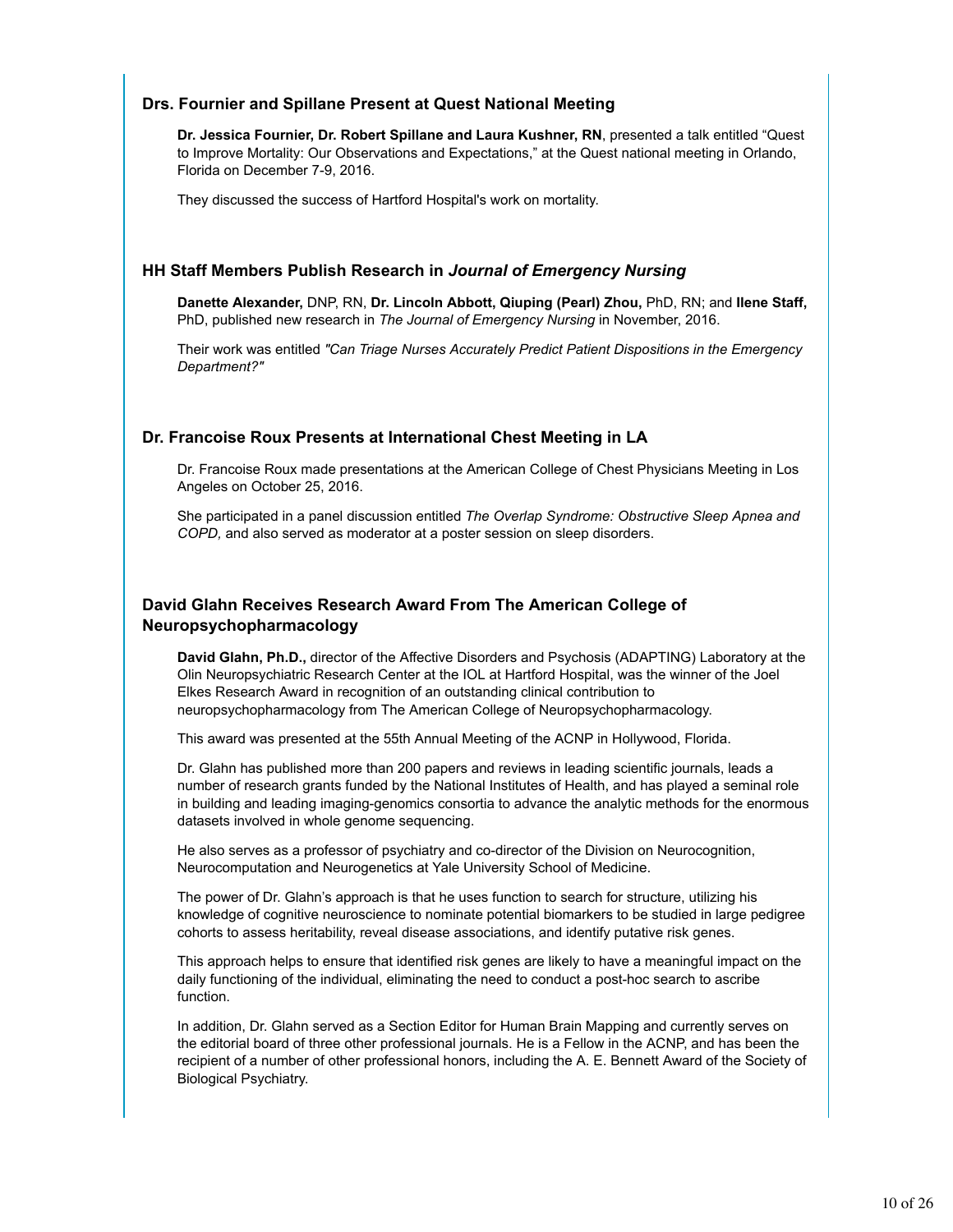# **Drs. Fournier and Spillane Present at Quest National Meeting**

**Dr. Jessica Fournier, Dr. Robert Spillane and Laura Kushner, RN**, presented a talk entitled "Quest to Improve Mortality: Our Observations and Expectations," at the Quest national meeting in Orlando, Florida on December 7-9, 2016.

They discussed the success of Hartford Hospital's work on mortality.

# **HH Staff Members Publish Research in** *Journal of Emergency Nursing*

**Danette Alexander,** DNP, RN, **Dr. Lincoln Abbott, Qiuping (Pearl) Zhou,** PhD, RN; and **Ilene Staff,** PhD, published new research in *The Journal of Emergency Nursing* in November, 2016.

Their work was entitled *"Can Triage Nurses Accurately Predict Patient Dispositions in the Emergency Department?"*

# **Dr. Francoise Roux Presents at International Chest Meeting in LA**

Dr. Francoise Roux made presentations at the American College of Chest Physicians Meeting in Los Angeles on October 25, 2016.

She participated in a panel discussion entitled *The Overlap Syndrome: Obstructive Sleep Apnea and COPD,* and also served as moderator at a poster session on sleep disorders.

# **David Glahn Receives Research Award From The American College of Neuropsychopharmacology**

**David Glahn, Ph.D.,** director of the Affective Disorders and Psychosis (ADAPTING) Laboratory at the Olin Neuropsychiatric Research Center at the IOL at Hartford Hospital, was the winner of the Joel Elkes Research Award in recognition of an outstanding clinical contribution to neuropsychopharmacology from The American College of Neuropsychopharmacology.

This award was presented at the 55th Annual Meeting of the ACNP in Hollywood, Florida.

Dr. Glahn has published more than 200 papers and reviews in leading scientific journals, leads a number of research grants funded by the National Institutes of Health, and has played a seminal role in building and leading imaging-genomics consortia to advance the analytic methods for the enormous datasets involved in whole genome sequencing.

He also serves as a professor of psychiatry and co-director of the Division on Neurocognition, Neurocomputation and Neurogenetics at Yale University School of Medicine.

The power of Dr. Glahn's approach is that he uses function to search for structure, utilizing his knowledge of cognitive neuroscience to nominate potential biomarkers to be studied in large pedigree cohorts to assess heritability, reveal disease associations, and identify putative risk genes.

This approach helps to ensure that identified risk genes are likely to have a meaningful impact on the daily functioning of the individual, eliminating the need to conduct a post-hoc search to ascribe function.

In addition, Dr. Glahn served as a Section Editor for Human Brain Mapping and currently serves on the editorial board of three other professional journals. He is a Fellow in the ACNP, and has been the recipient of a number of other professional honors, including the A. E. Bennett Award of the Society of Biological Psychiatry.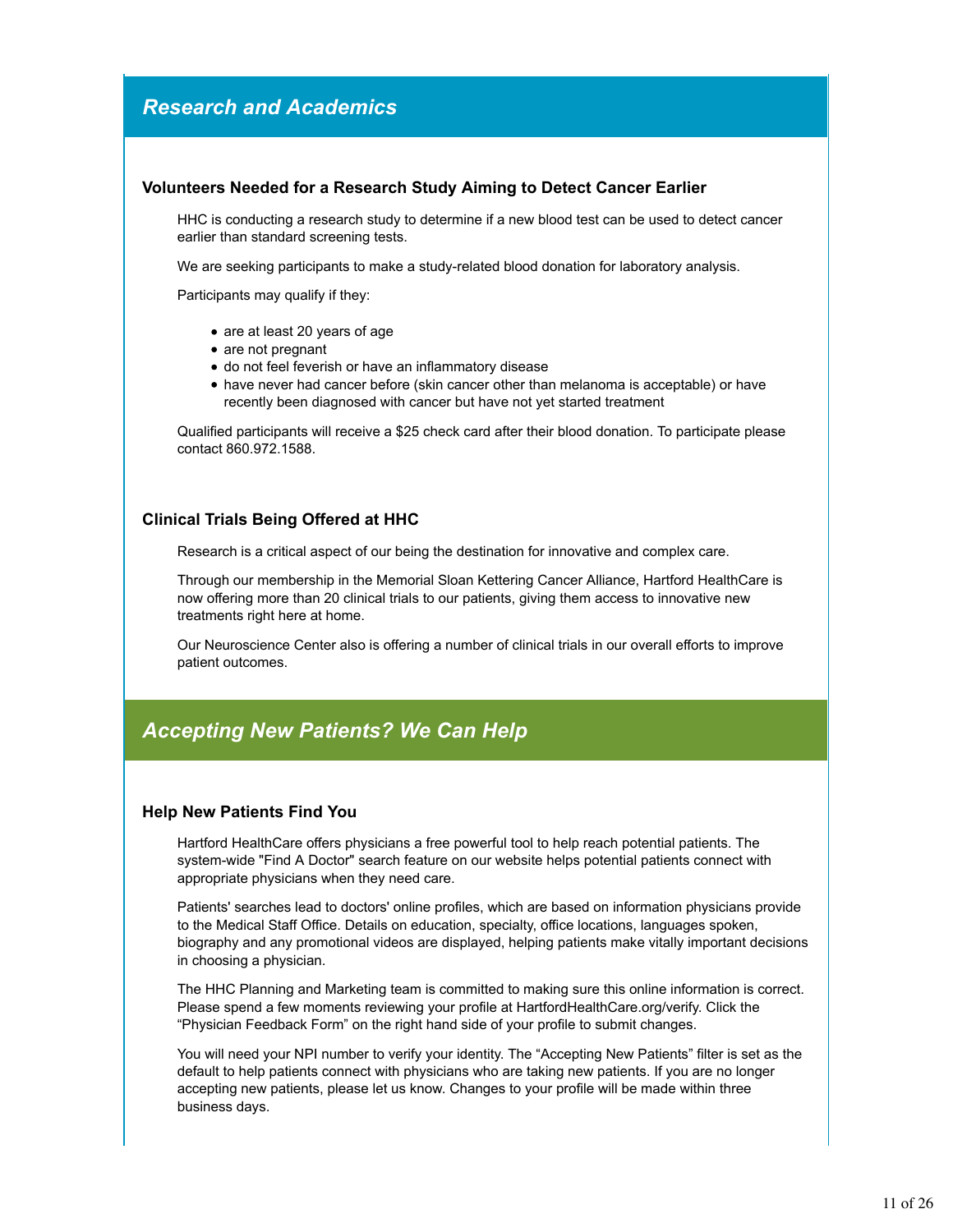# *Research and Academics*

# **Volunteers Needed for a Research Study Aiming to Detect Cancer Earlier**

HHC is conducting a research study to determine if a new blood test can be used to detect cancer earlier than standard screening tests.

We are seeking participants to make a study-related blood donation for laboratory analysis.

Participants may qualify if they:

- are at least 20 years of age
- are not pregnant
- do not feel feverish or have an inflammatory disease
- have never had cancer before (skin cancer other than melanoma is acceptable) or have recently been diagnosed with cancer but have not yet started treatment

Qualified participants will receive a \$25 check card after their blood donation. To participate please contact 860.972.1588.

# **Clinical Trials Being Offered at HHC**

Research is a critical aspect of our being the destination for innovative and complex care.

Through our membership in the Memorial Sloan Kettering Cancer Alliance, Hartford HealthCare is now offering more than 20 clinical trials to our patients, giving them access to innovative new treatments right here at home.

Our Neuroscience Center also is offering a number of clinical trials in our overall efforts to improve patient outcomes.

# *Accepting New Patients? We Can Help*

# **Help New Patients Find You**

Hartford HealthCare offers physicians a free powerful tool to help reach potential patients. The system-wide "Find A Doctor" search feature on our website helps potential patients connect with appropriate physicians when they need care.

Patients' searches lead to doctors' online profiles, which are based on information physicians provide to the Medical Staff Office. Details on education, specialty, office locations, languages spoken, biography and any promotional videos are displayed, helping patients make vitally important decisions in choosing a physician.

The HHC Planning and Marketing team is committed to making sure this online information is correct. Please spend a few moments reviewing your profile at HartfordHealthCare.org/verify. Click the "Physician Feedback Form" on the right hand side of your profile to submit changes.

You will need your NPI number to verify your identity. The "Accepting New Patients" filter is set as the default to help patients connect with physicians who are taking new patients. If you are no longer accepting new patients, please let us know. Changes to your profile will be made within three business days.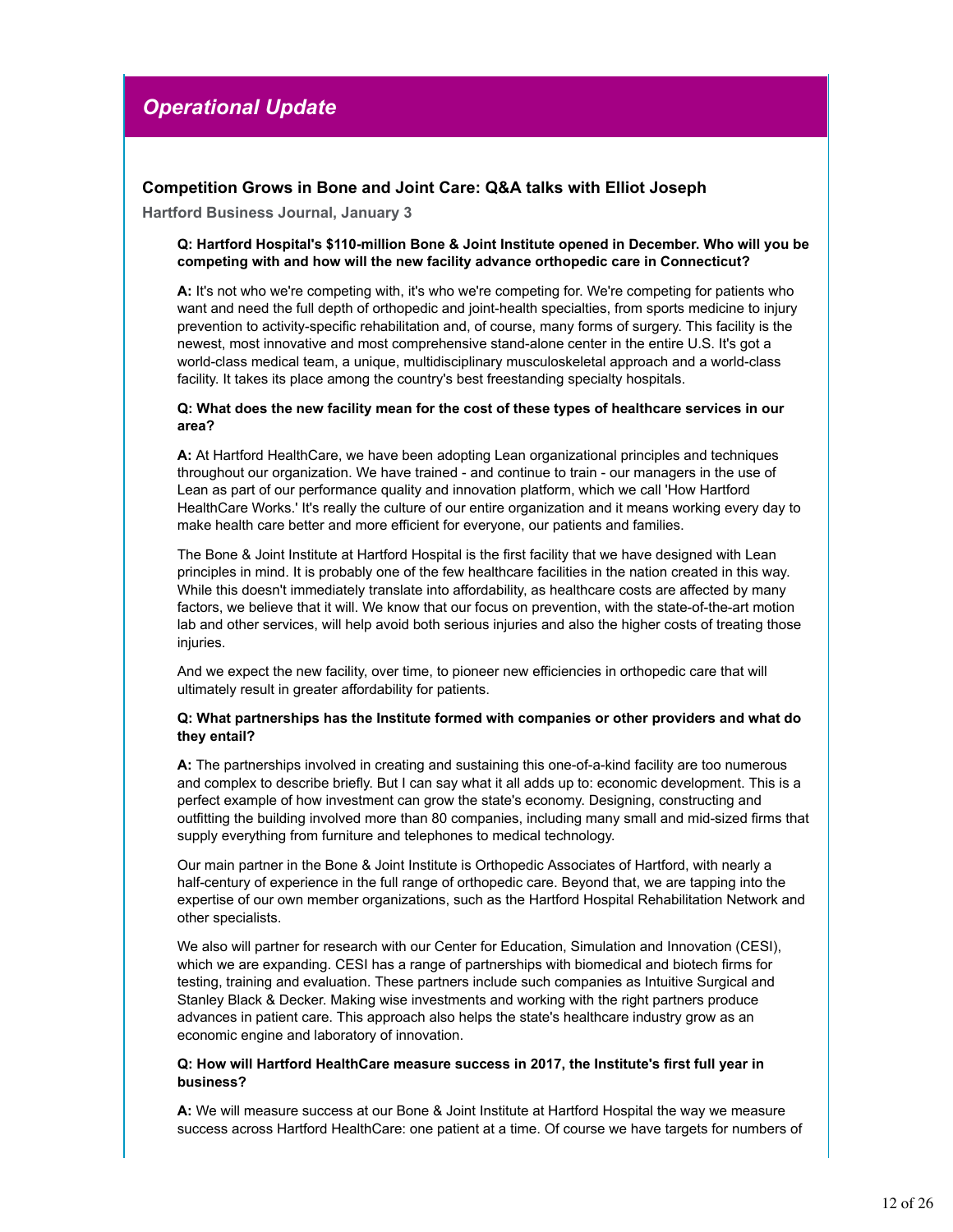# *Operational Update*

# **Competition Grows in Bone and Joint Care: Q&A talks with Elliot Joseph**

**Hartford Business Journal, January 3**

#### **Q: Hartford Hospital's \$110-million Bone & Joint Institute opened in December. Who will you be competing with and how will the new facility advance orthopedic care in Connecticut?**

**A:** It's not who we're competing with, it's who we're competing for. We're competing for patients who want and need the full depth of orthopedic and joint-health specialties, from sports medicine to injury prevention to activity-specific rehabilitation and, of course, many forms of surgery. This facility is the newest, most innovative and most comprehensive stand-alone center in the entire U.S. It's got a world-class medical team, a unique, multidisciplinary musculoskeletal approach and a world-class facility. It takes its place among the country's best freestanding specialty hospitals.

#### **Q: What does the new facility mean for the cost of these types of healthcare services in our area?**

**A:** At Hartford HealthCare, we have been adopting Lean organizational principles and techniques throughout our organization. We have trained - and continue to train - our managers in the use of Lean as part of our performance quality and innovation platform, which we call 'How Hartford HealthCare Works.' It's really the culture of our entire organization and it means working every day to make health care better and more efficient for everyone, our patients and families.

The Bone & Joint Institute at Hartford Hospital is the first facility that we have designed with Lean principles in mind. It is probably one of the few healthcare facilities in the nation created in this way. While this doesn't immediately translate into affordability, as healthcare costs are affected by many factors, we believe that it will. We know that our focus on prevention, with the state-of-the-art motion lab and other services, will help avoid both serious injuries and also the higher costs of treating those injuries.

And we expect the new facility, over time, to pioneer new efficiencies in orthopedic care that will ultimately result in greater affordability for patients.

#### **Q: What partnerships has the Institute formed with companies or other providers and what do they entail?**

**A:** The partnerships involved in creating and sustaining this one-of-a-kind facility are too numerous and complex to describe briefly. But I can say what it all adds up to: economic development. This is a perfect example of how investment can grow the state's economy. Designing, constructing and outfitting the building involved more than 80 companies, including many small and mid-sized firms that supply everything from furniture and telephones to medical technology.

Our main partner in the Bone & Joint Institute is Orthopedic Associates of Hartford, with nearly a half-century of experience in the full range of orthopedic care. Beyond that, we are tapping into the expertise of our own member organizations, such as the Hartford Hospital Rehabilitation Network and other specialists.

We also will partner for research with our Center for Education, Simulation and Innovation (CESI), which we are expanding. CESI has a range of partnerships with biomedical and biotech firms for testing, training and evaluation. These partners include such companies as Intuitive Surgical and Stanley Black & Decker. Making wise investments and working with the right partners produce advances in patient care. This approach also helps the state's healthcare industry grow as an economic engine and laboratory of innovation.

#### **Q: How will Hartford HealthCare measure success in 2017, the Institute's first full year in business?**

**A:** We will measure success at our Bone & Joint Institute at Hartford Hospital the way we measure success across Hartford HealthCare: one patient at a time. Of course we have targets for numbers of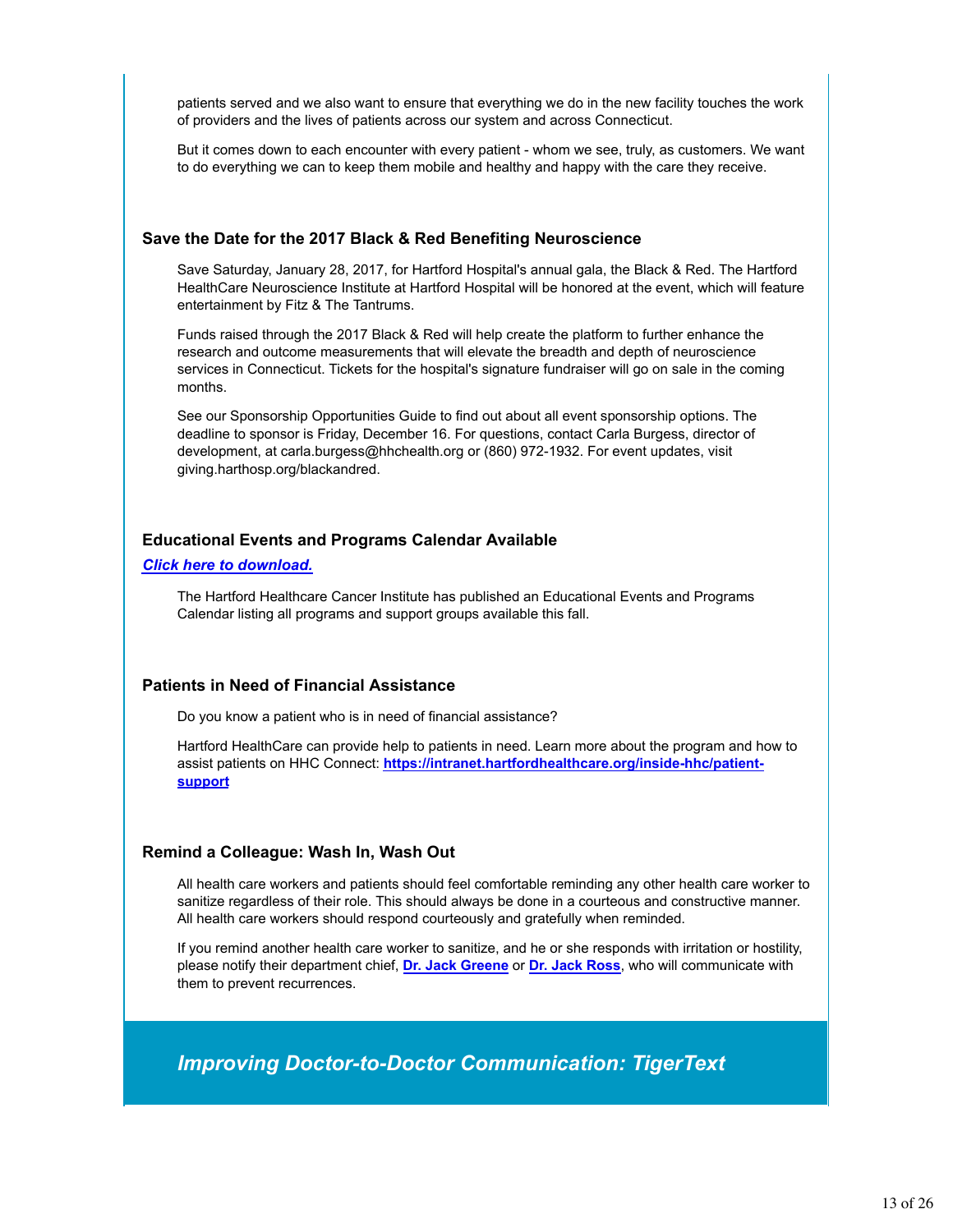patients served and we also want to ensure that everything we do in the new facility touches the work of providers and the lives of patients across our system and across Connecticut.

But it comes down to each encounter with every patient - whom we see, truly, as customers. We want to do everything we can to keep them mobile and healthy and happy with the care they receive.

### **Save the Date for the 2017 Black & Red Benefiting Neuroscience**

Save Saturday, January 28, 2017, for Hartford Hospital's annual gala, the Black & Red. The Hartford HealthCare Neuroscience Institute at Hartford Hospital will be honored at the event, which will feature entertainment by Fitz & The Tantrums.

Funds raised through the 2017 Black & Red will help create the platform to further enhance the research and outcome measurements that will elevate the breadth and depth of neuroscience services in Connecticut. Tickets for the hospital's signature fundraiser will go on sale in the coming months.

See our Sponsorship Opportunities Guide to find out about all event sponsorship options. The deadline to sponsor is Friday, December 16. For questions, contact Carla Burgess, director of development, at carla.burgess@hhchealth.org or (860) 972-1932. For event updates, visit giving.harthosp.org/blackandred.

# **Educational Events and Programs Calendar Available**

#### *Click here to download.*

The Hartford Healthcare Cancer Institute has published an Educational Events and Programs Calendar listing all programs and support groups available this fall.

# **Patients in Need of Financial Assistance**

Do you know a patient who is in need of financial assistance?

Hartford HealthCare can provide help to patients in need. Learn more about the program and how to assist patients on HHC Connect: **https://intranet.hartfordhealthcare.org/inside-hhc/patientsupport**

# **Remind a Colleague: Wash In, Wash Out**

All health care workers and patients should feel comfortable reminding any other health care worker to sanitize regardless of their role. This should always be done in a courteous and constructive manner. All health care workers should respond courteously and gratefully when reminded.

If you remind another health care worker to sanitize, and he or she responds with irritation or hostility, please notify their department chief, **Dr. Jack Greene** or **Dr. Jack Ross**, who will communicate with them to prevent recurrences.

*Improving Doctor-to-Doctor Communication: TigerText*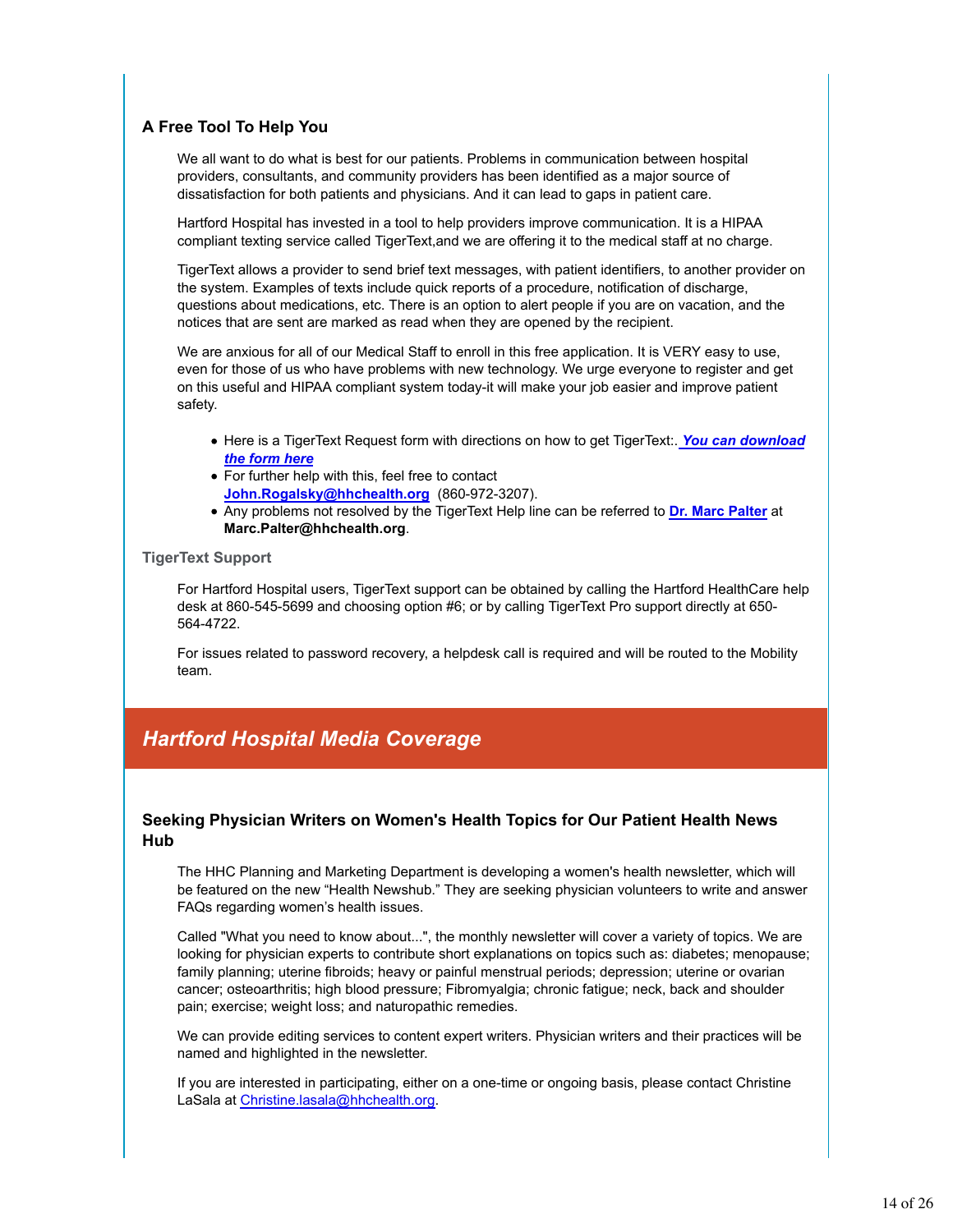# **A Free Tool To Help You**

We all want to do what is best for our patients. Problems in communication between hospital providers, consultants, and community providers has been identified as a major source of dissatisfaction for both patients and physicians. And it can lead to gaps in patient care.

Hartford Hospital has invested in a tool to help providers improve communication. It is a HIPAA compliant texting service called TigerText,and we are offering it to the medical staff at no charge.

TigerText allows a provider to send brief text messages, with patient identifiers, to another provider on the system. Examples of texts include quick reports of a procedure, notification of discharge, questions about medications, etc. There is an option to alert people if you are on vacation, and the notices that are sent are marked as read when they are opened by the recipient.

We are anxious for all of our Medical Staff to enroll in this free application. It is VERY easy to use, even for those of us who have problems with new technology. We urge everyone to register and get on this useful and HIPAA compliant system today-it will make your job easier and improve patient safety.

- Here is a TigerText Request form with directions on how to get TigerText:. You can download *the form here*
- For further help with this, feel free to contact **John.Rogalsky@hhchealth.org** (860-972-3207).
- Any problems not resolved by the TigerText Help line can be referred to **Dr. Marc Palter** at **Marc.Palter@hhchealth.org**.

#### **TigerText Support**

For Hartford Hospital users, TigerText support can be obtained by calling the Hartford HealthCare help desk at 860-545-5699 and choosing option #6; or by calling TigerText Pro support directly at 650- 564-4722.

For issues related to password recovery, a helpdesk call is required and will be routed to the Mobility team.

# *Hartford Hospital Media Coverage*

# **Seeking Physician Writers on Women's Health Topics for Our Patient Health News Hub**

The HHC Planning and Marketing Department is developing a women's health newsletter, which will be featured on the new "Health Newshub." They are seeking physician volunteers to write and answer FAQs regarding women's health issues.

Called "What you need to know about...", the monthly newsletter will cover a variety of topics. We are looking for physician experts to contribute short explanations on topics such as: diabetes; menopause; family planning; uterine fibroids; heavy or painful menstrual periods; depression; uterine or ovarian cancer; osteoarthritis; high blood pressure; Fibromyalgia; chronic fatigue; neck, back and shoulder pain; exercise; weight loss; and naturopathic remedies.

We can provide editing services to content expert writers. Physician writers and their practices will be named and highlighted in the newsletter.

If you are interested in participating, either on a one-time or ongoing basis, please contact Christine LaSala at Christine.lasala@hhchealth.org.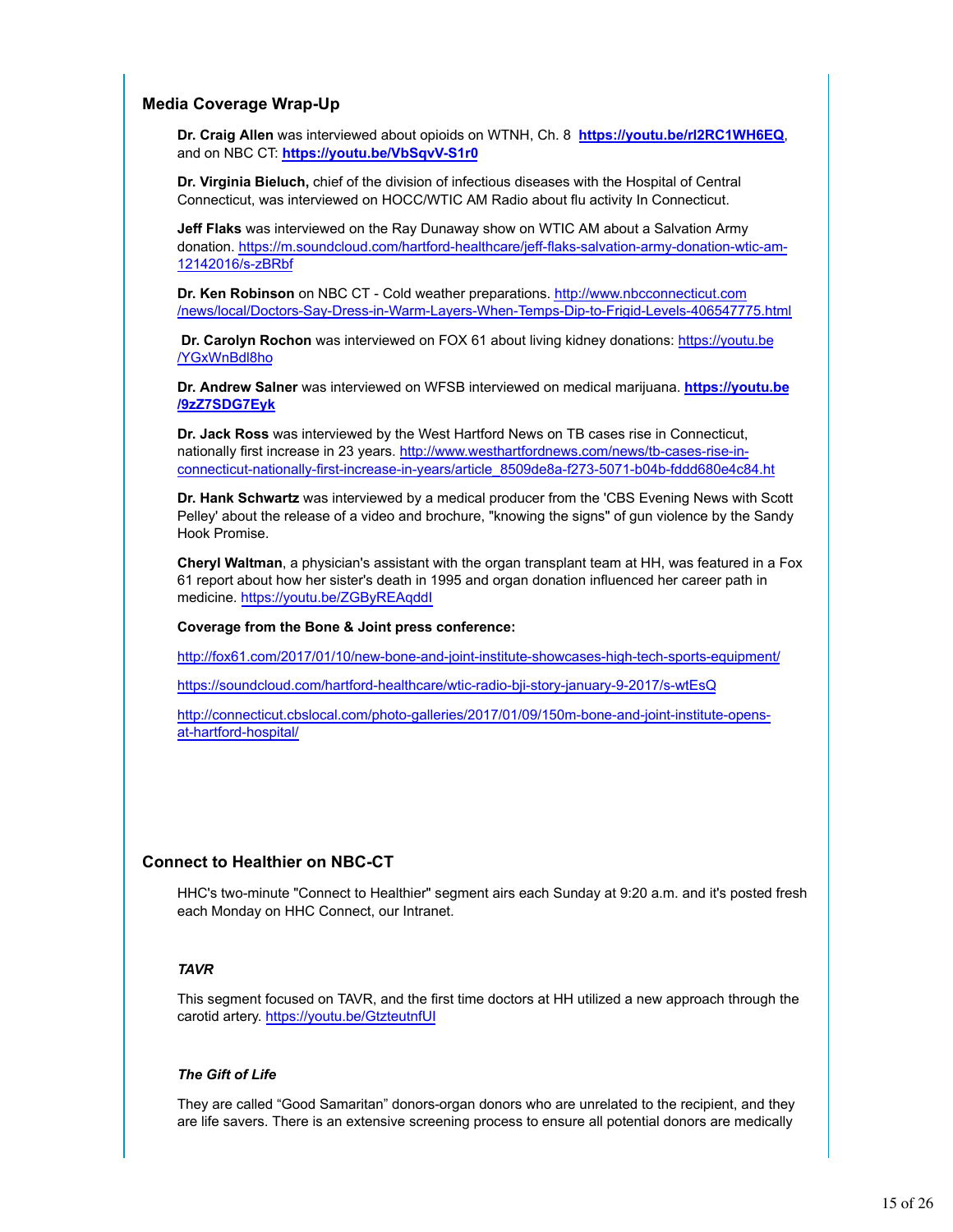# **Media Coverage Wrap-Up**

**Dr. Craig Allen** was interviewed about opioids on WTNH, Ch. 8 **https://youtu.be/rl2RC1WH6EQ**, and on NBC CT: **https://youtu.be/VbSqvV-S1r0**

**Dr. Virginia Bieluch,** chief of the division of infectious diseases with the Hospital of Central Connecticut, was interviewed on HOCC/WTIC AM Radio about flu activity In Connecticut.

**Jeff Flaks** was interviewed on the Ray Dunaway show on WTIC AM about a Salvation Army donation. https://m.soundcloud.com/hartford-healthcare/jeff-flaks-salvation-army-donation-wtic-am-12142016/s-zBRbf

**Dr. Ken Robinson** on NBC CT - Cold weather preparations. http://www.nbcconnecticut.com /news/local/Doctors-Say-Dress-in-Warm-Layers-When-Temps-Dip-to-Frigid-Levels-406547775.html

 **Dr. Carolyn Rochon** was interviewed on FOX 61 about living kidney donations: https://youtu.be /YGxWnBdl8ho

**Dr. Andrew Salner** was interviewed on WFSB interviewed on medical marijuana. **https://youtu.be /9zZ7SDG7Eyk**

**Dr. Jack Ross** was interviewed by the West Hartford News on TB cases rise in Connecticut, nationally first increase in 23 years. http://www.westhartfordnews.com/news/tb-cases-rise-inconnecticut-nationally-first-increase-in-years/article\_8509de8a-f273-5071-b04b-fddd680e4c84.ht

**Dr. Hank Schwartz** was interviewed by a medical producer from the 'CBS Evening News with Scott Pelley' about the release of a video and brochure, "knowing the signs" of gun violence by the Sandy Hook Promise.

**Cheryl Waltman**, a physician's assistant with the organ transplant team at HH, was featured in a Fox 61 report about how her sister's death in 1995 and organ donation influenced her career path in medicine. https://youtu.be/ZGByREAqddI

#### **Coverage from the Bone & Joint press conference:**

http://fox61.com/2017/01/10/new-bone-and-joint-institute-showcases-high-tech-sports-equipment/

https://soundcloud.com/hartford-healthcare/wtic-radio-bji-story-january-9-2017/s-wtEsQ

http://connecticut.cbslocal.com/photo-galleries/2017/01/09/150m-bone-and-joint-institute-opensat-hartford-hospital/

# **Connect to Healthier on NBC-CT**

HHC's two-minute "Connect to Healthier" segment airs each Sunday at 9:20 a.m. and it's posted fresh each Monday on HHC Connect, our Intranet.

#### *TAVR*

This segment focused on TAVR, and the first time doctors at HH utilized a new approach through the carotid artery. https://youtu.be/GtzteutnfUI

#### *The Gift of Life*

They are called "Good Samaritan" donors-organ donors who are unrelated to the recipient, and they are life savers. There is an extensive screening process to ensure all potential donors are medically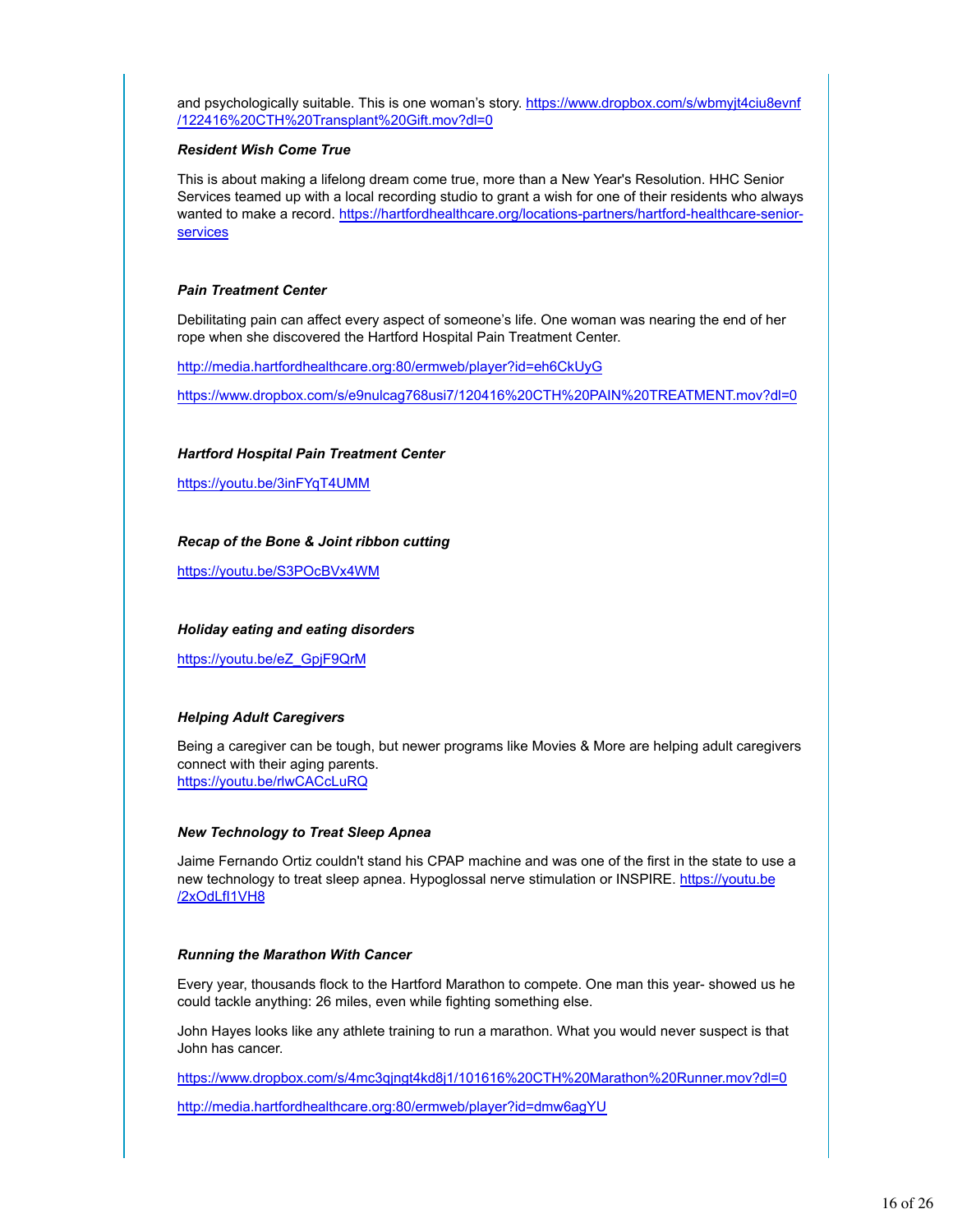and psychologically suitable. This is one woman's story. https://www.dropbox.com/s/wbmyjt4ciu8evnf /122416%20CTH%20Transplant%20Gift.mov?dl=0

#### *Resident Wish Come True*

This is about making a lifelong dream come true, more than a New Year's Resolution. HHC Senior Services teamed up with a local recording studio to grant a wish for one of their residents who always wanted to make a record. https://hartfordhealthcare.org/locations-partners/hartford-healthcare-senior**services** 

#### *Pain Treatment Center*

Debilitating pain can affect every aspect of someone's life. One woman was nearing the end of her rope when she discovered the Hartford Hospital Pain Treatment Center.

http://media.hartfordhealthcare.org:80/ermweb/player?id=eh6CkUyG

https://www.dropbox.com/s/e9nulcag768usi7/120416%20CTH%20PAIN%20TREATMENT.mov?dl=0

#### *Hartford Hospital Pain Treatment Center*

https://youtu.be/3inFYqT4UMM

#### *Recap of the Bone & Joint ribbon cutting*

https://youtu.be/S3POcBVx4WM

#### *Holiday eating and eating disorders*

https://youtu.be/eZ\_GpjF9QrM

#### *Helping Adult Caregivers*

Being a caregiver can be tough, but newer programs like Movies & More are helping adult caregivers connect with their aging parents. https://youtu.be/rlwCACcLuRQ

#### *New Technology to Treat Sleep Apnea*

Jaime Fernando Ortiz couldn't stand his CPAP machine and was one of the first in the state to use a new technology to treat sleep apnea. Hypoglossal nerve stimulation or INSPIRE. https://youtu.be /2xOdLfI1VH8

#### *Running the Marathon With Cancer*

Every year, thousands flock to the Hartford Marathon to compete. One man this year- showed us he could tackle anything: 26 miles, even while fighting something else.

John Hayes looks like any athlete training to run a marathon. What you would never suspect is that John has cancer.

https://www.dropbox.com/s/4mc3qjngt4kd8j1/101616%20CTH%20Marathon%20Runner.mov?dl=0

http://media.hartfordhealthcare.org:80/ermweb/player?id=dmw6agYU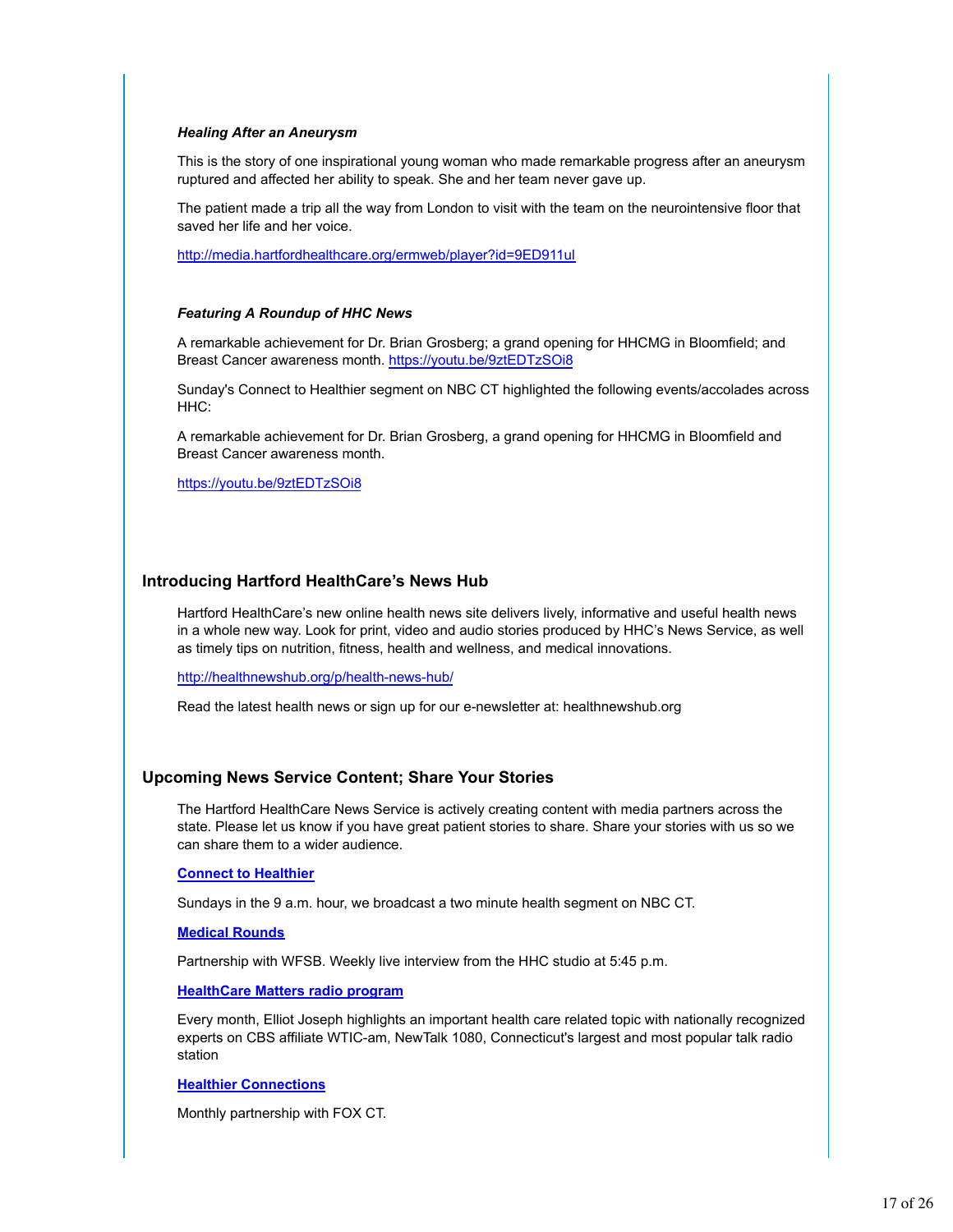#### *Healing After an Aneurysm*

This is the story of one inspirational young woman who made remarkable progress after an aneurysm ruptured and affected her ability to speak. She and her team never gave up.

The patient made a trip all the way from London to visit with the team on the neurointensive floor that saved her life and her voice.

http://media.hartfordhealthcare.org/ermweb/player?id=9ED911ul

#### *Featuring A Roundup of HHC News*

A remarkable achievement for Dr. Brian Grosberg; a grand opening for HHCMG in Bloomfield; and Breast Cancer awareness month. https://youtu.be/9ztEDTzSOi8

Sunday's Connect to Healthier segment on NBC CT highlighted the following events/accolades across HHC:

A remarkable achievement for Dr. Brian Grosberg, a grand opening for HHCMG in Bloomfield and Breast Cancer awareness month.

https://youtu.be/9ztEDTzSOi8

#### **Introducing Hartford HealthCare's News Hub**

Hartford HealthCare's new online health news site delivers lively, informative and useful health news in a whole new way. Look for print, video and audio stories produced by HHC's News Service, as well as timely tips on nutrition, fitness, health and wellness, and medical innovations.

http://healthnewshub.org/p/health-news-hub/

Read the latest health news or sign up for our e-newsletter at: healthnewshub.org

#### **Upcoming News Service Content; Share Your Stories**

The Hartford HealthCare News Service is actively creating content with media partners across the state. Please let us know if you have great patient stories to share. Share your stories with us so we can share them to a wider audience.

#### **Connect to Healthier**

Sundays in the 9 a.m. hour, we broadcast a two minute health segment on NBC CT.

#### **Medical Rounds**

Partnership with WFSB. Weekly live interview from the HHC studio at 5:45 p.m.

# **HealthCare Matters radio program**

Every month, Elliot Joseph highlights an important health care related topic with nationally recognized experts on CBS affiliate WTIC-am, NewTalk 1080, Connecticut's largest and most popular talk radio station

#### **Healthier Connections**

Monthly partnership with FOX CT.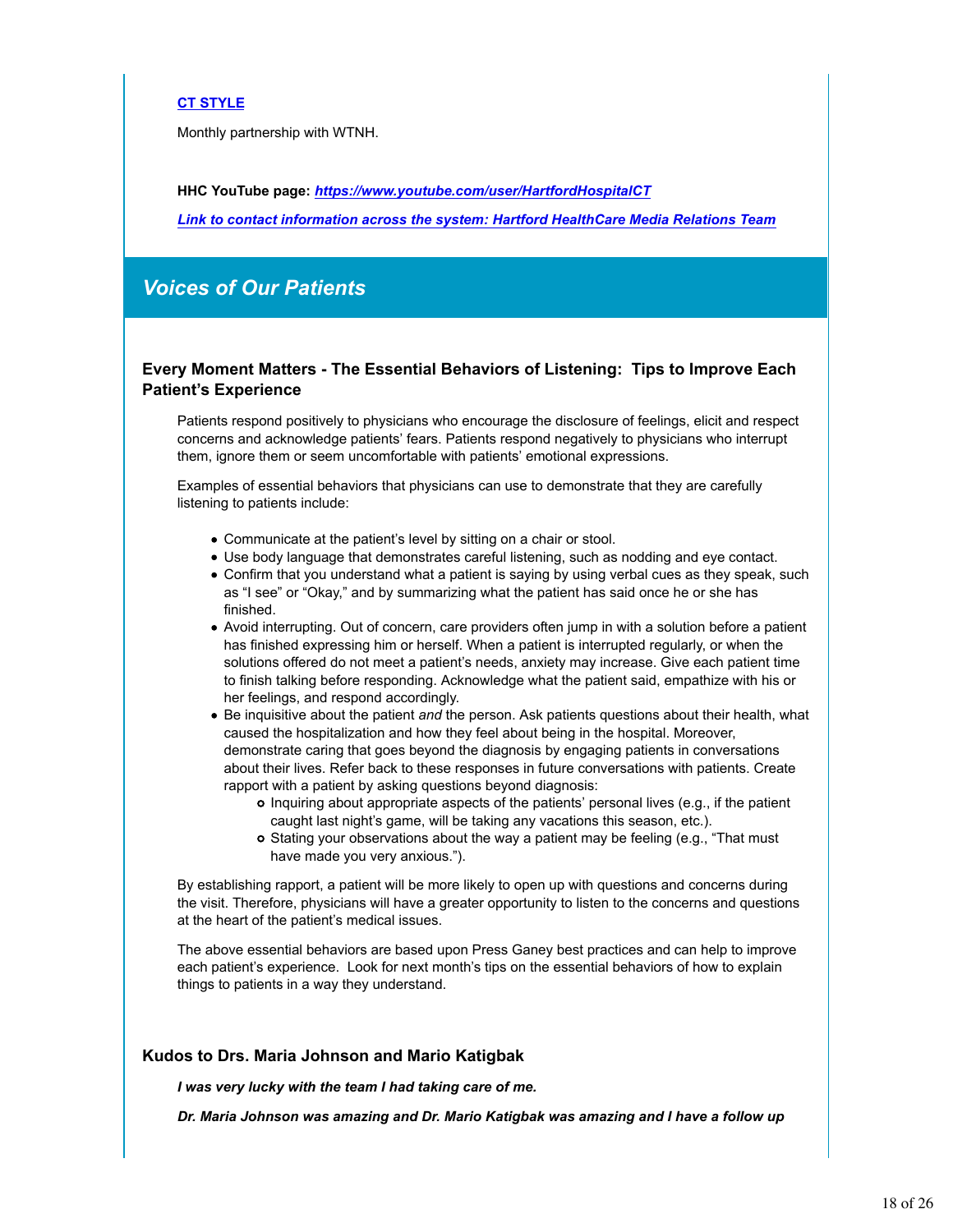# **CT STYLE**

Monthly partnership with WTNH.

**HHC YouTube page:** *https://www.youtube.com/user/HartfordHospitalCT*

*Link to contact information across the system: Hartford HealthCare Media Relations Team*

# *Voices of Our Patients*

# **Every Moment Matters - The Essential Behaviors of Listening: Tips to Improve Each Patient's Experience**

Patients respond positively to physicians who encourage the disclosure of feelings, elicit and respect concerns and acknowledge patients' fears. Patients respond negatively to physicians who interrupt them, ignore them or seem uncomfortable with patients' emotional expressions.

Examples of essential behaviors that physicians can use to demonstrate that they are carefully listening to patients include:

- Communicate at the patient's level by sitting on a chair or stool.
- Use body language that demonstrates careful listening, such as nodding and eye contact.
- Confirm that you understand what a patient is saying by using verbal cues as they speak, such as "I see" or "Okay," and by summarizing what the patient has said once he or she has finished.
- Avoid interrupting. Out of concern, care providers often jump in with a solution before a patient has finished expressing him or herself. When a patient is interrupted regularly, or when the solutions offered do not meet a patient's needs, anxiety may increase. Give each patient time to finish talking before responding. Acknowledge what the patient said, empathize with his or her feelings, and respond accordingly.
- Be inquisitive about the patient *and* the person. Ask patients questions about their health, what caused the hospitalization and how they feel about being in the hospital. Moreover, demonstrate caring that goes beyond the diagnosis by engaging patients in conversations about their lives. Refer back to these responses in future conversations with patients. Create rapport with a patient by asking questions beyond diagnosis:
	- Inquiring about appropriate aspects of the patients' personal lives (e.g., if the patient caught last night's game, will be taking any vacations this season, etc.).
	- o Stating your observations about the way a patient may be feeling (e.g., "That must have made you very anxious.").

By establishing rapport, a patient will be more likely to open up with questions and concerns during the visit. Therefore, physicians will have a greater opportunity to listen to the concerns and questions at the heart of the patient's medical issues.

The above essential behaviors are based upon Press Ganey best practices and can help to improve each patient's experience. Look for next month's tips on the essential behaviors of how to explain things to patients in a way they understand.

# **Kudos to Drs. Maria Johnson and Mario Katigbak**

*I was very lucky with the team I had taking care of me.*

*Dr. Maria Johnson was amazing and Dr. Mario Katigbak was amazing and I have a follow up*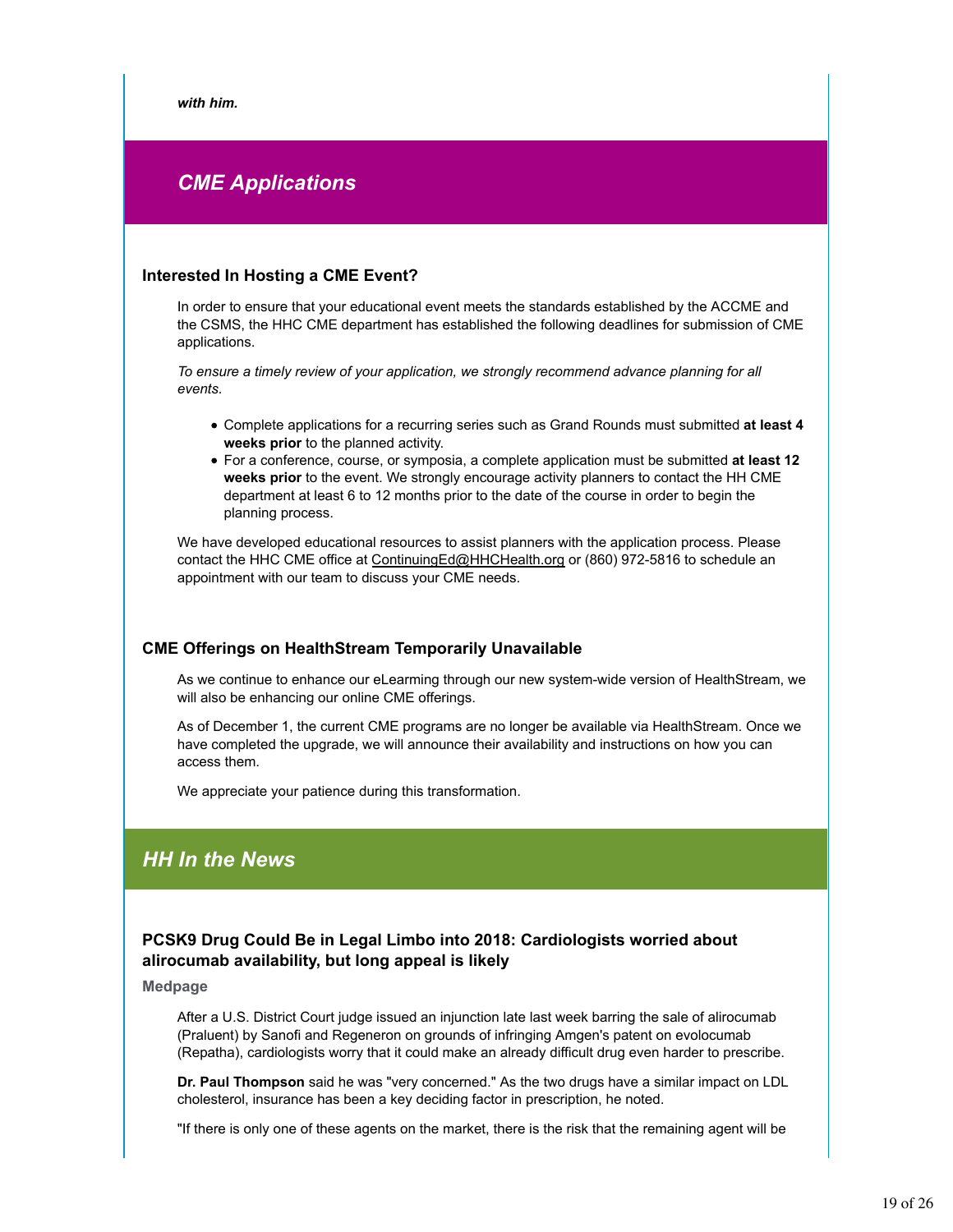*with him.*

# *CME Applications*

# **Interested In Hosting a CME Event?**

In order to ensure that your educational event meets the standards established by the ACCME and the CSMS, the HHC CME department has established the following deadlines for submission of CME applications.

*To ensure a timely review of your application, we strongly recommend advance planning for all events.* 

- Complete applications for a recurring series such as Grand Rounds must submitted **at least 4 weeks prior** to the planned activity.
- For a conference, course, or symposia, a complete application must be submitted **at least 12 weeks prior** to the event. We strongly encourage activity planners to contact the HH CME department at least 6 to 12 months prior to the date of the course in order to begin the planning process.

We have developed educational resources to assist planners with the application process. Please contact the HHC CME office at ContinuingEd@HHCHealth.org or (860) 972-5816 to schedule an appointment with our team to discuss your CME needs.

# **CME Offerings on HealthStream Temporarily Unavailable**

As we continue to enhance our eLearming through our new system-wide version of HealthStream, we will also be enhancing our online CME offerings.

As of December 1, the current CME programs are no longer be available via HealthStream. Once we have completed the upgrade, we will announce their availability and instructions on how you can access them.

We appreciate your patience during this transformation.

# *HH In the News*

# **PCSK9 Drug Could Be in Legal Limbo into 2018: Cardiologists worried about alirocumab availability, but long appeal is likely**

**Medpage**

After a U.S. District Court judge issued an injunction late last week barring the sale of alirocumab (Praluent) by Sanofi and Regeneron on grounds of infringing Amgen's patent on evolocumab (Repatha), cardiologists worry that it could make an already difficult drug even harder to prescribe.

**Dr. Paul Thompson** said he was "very concerned." As the two drugs have a similar impact on LDL cholesterol, insurance has been a key deciding factor in prescription, he noted.

"If there is only one of these agents on the market, there is the risk that the remaining agent will be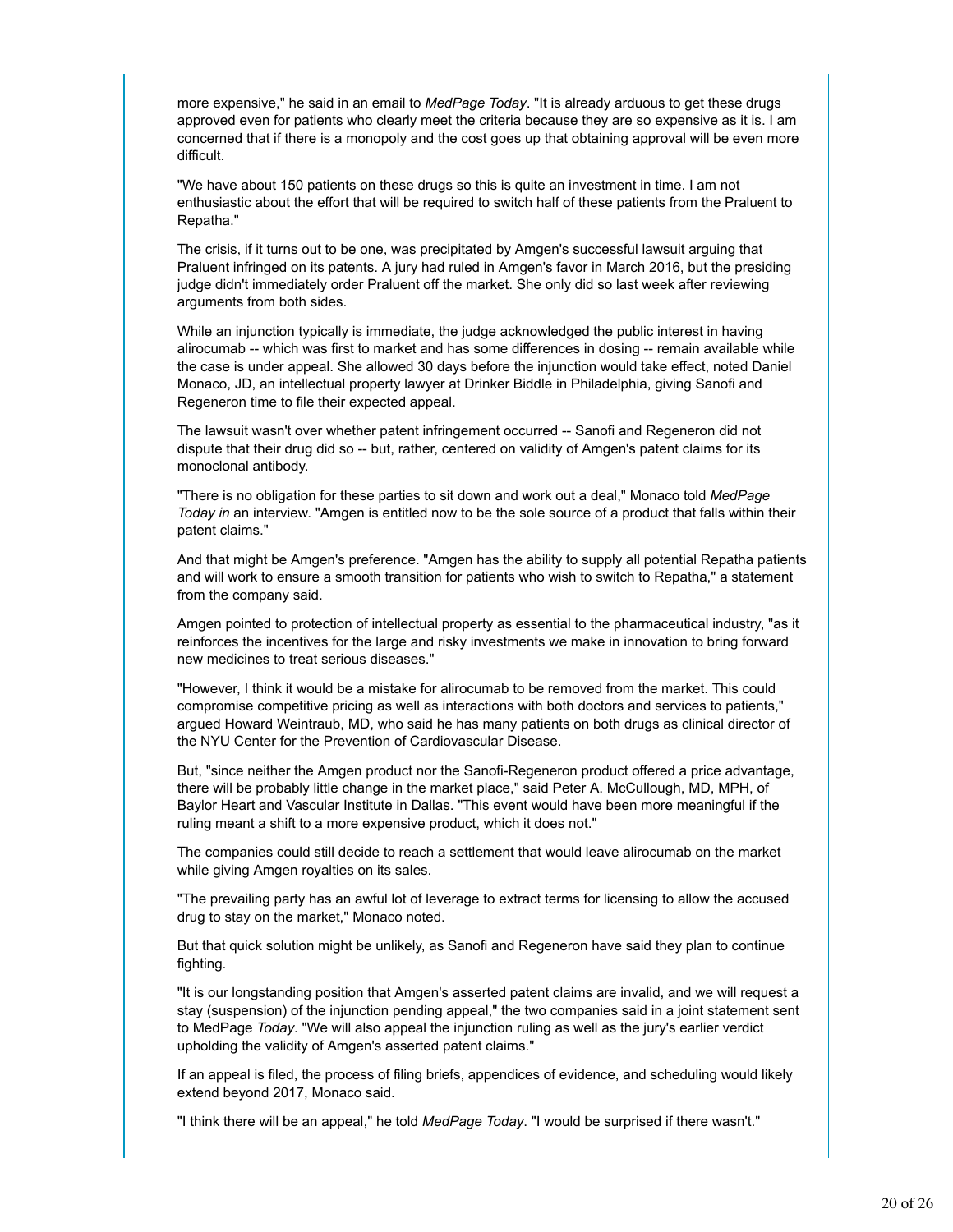more expensive," he said in an email to *MedPage Today*. "It is already arduous to get these drugs approved even for patients who clearly meet the criteria because they are so expensive as it is. I am concerned that if there is a monopoly and the cost goes up that obtaining approval will be even more difficult.

"We have about 150 patients on these drugs so this is quite an investment in time. I am not enthusiastic about the effort that will be required to switch half of these patients from the Praluent to Repatha."

The crisis, if it turns out to be one, was precipitated by Amgen's successful lawsuit arguing that Praluent infringed on its patents. A jury had ruled in Amgen's favor in March 2016, but the presiding judge didn't immediately order Praluent off the market. She only did so last week after reviewing arguments from both sides.

While an injunction typically is immediate, the judge acknowledged the public interest in having alirocumab -- which was first to market and has some differences in dosing -- remain available while the case is under appeal. She allowed 30 days before the injunction would take effect, noted Daniel Monaco, JD, an intellectual property lawyer at Drinker Biddle in Philadelphia, giving Sanofi and Regeneron time to file their expected appeal.

The lawsuit wasn't over whether patent infringement occurred -- Sanofi and Regeneron did not dispute that their drug did so -- but, rather, centered on validity of Amgen's patent claims for its monoclonal antibody.

"There is no obligation for these parties to sit down and work out a deal," Monaco told *MedPage Today in* an interview. "Amgen is entitled now to be the sole source of a product that falls within their patent claims."

And that might be Amgen's preference. "Amgen has the ability to supply all potential Repatha patients and will work to ensure a smooth transition for patients who wish to switch to Repatha," a statement from the company said.

Amgen pointed to protection of intellectual property as essential to the pharmaceutical industry, "as it reinforces the incentives for the large and risky investments we make in innovation to bring forward new medicines to treat serious diseases."

"However, I think it would be a mistake for alirocumab to be removed from the market. This could compromise competitive pricing as well as interactions with both doctors and services to patients," argued Howard Weintraub, MD, who said he has many patients on both drugs as clinical director of the NYU Center for the Prevention of Cardiovascular Disease.

But, "since neither the Amgen product nor the Sanofi-Regeneron product offered a price advantage, there will be probably little change in the market place," said Peter A. McCullough, MD, MPH, of Baylor Heart and Vascular Institute in Dallas. "This event would have been more meaningful if the ruling meant a shift to a more expensive product, which it does not."

The companies could still decide to reach a settlement that would leave alirocumab on the market while giving Amgen royalties on its sales.

"The prevailing party has an awful lot of leverage to extract terms for licensing to allow the accused drug to stay on the market," Monaco noted.

But that quick solution might be unlikely, as Sanofi and Regeneron have said they plan to continue fighting.

"It is our longstanding position that Amgen's asserted patent claims are invalid, and we will request a stay (suspension) of the injunction pending appeal," the two companies said in a joint statement sent to MedPage *Today*. "We will also appeal the injunction ruling as well as the jury's earlier verdict upholding the validity of Amgen's asserted patent claims."

If an appeal is filed, the process of filing briefs, appendices of evidence, and scheduling would likely extend beyond 2017, Monaco said.

"I think there will be an appeal," he told *MedPage Today*. "I would be surprised if there wasn't."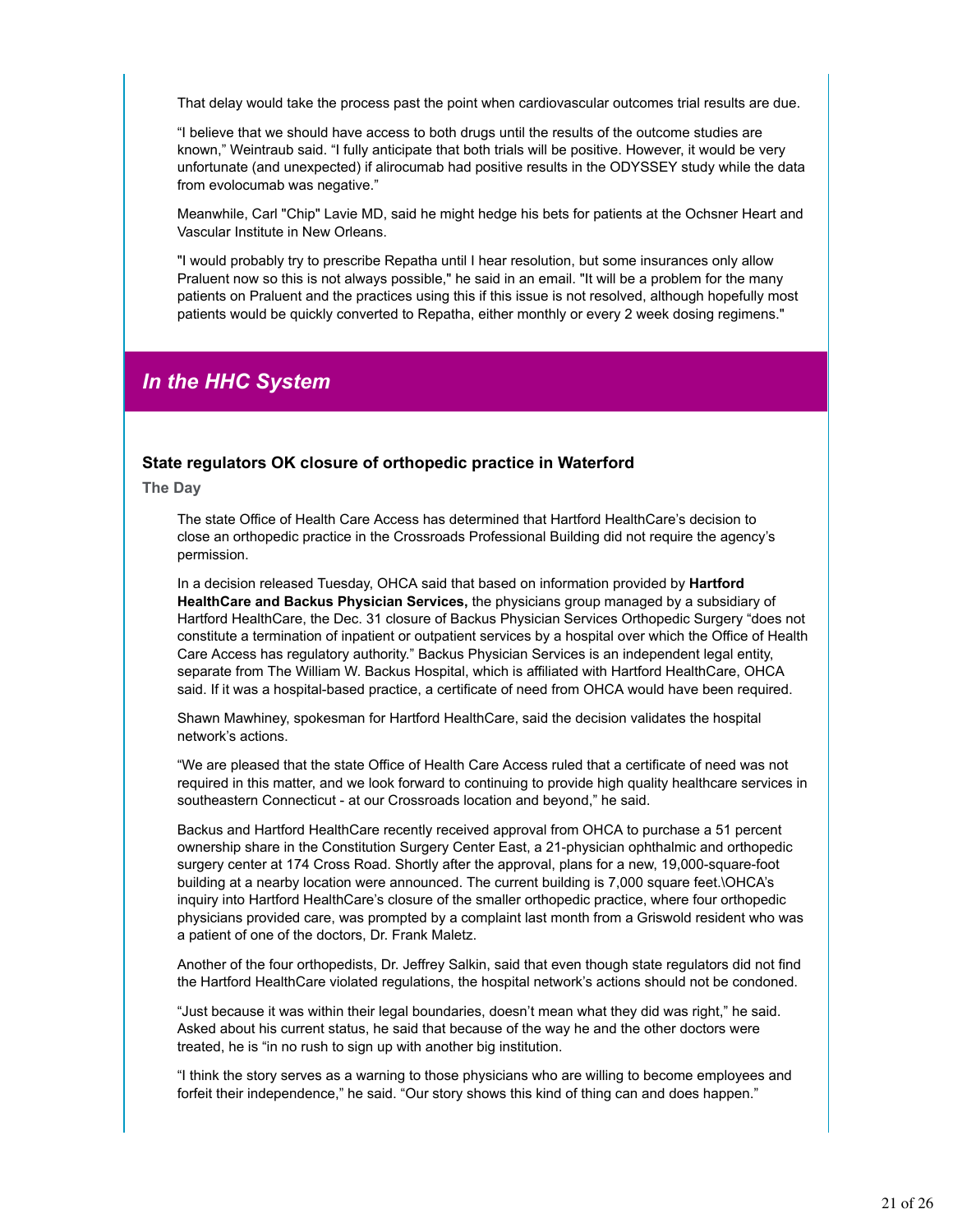That delay would take the process past the point when cardiovascular outcomes trial results are due.

"I believe that we should have access to both drugs until the results of the outcome studies are known," Weintraub said. "I fully anticipate that both trials will be positive. However, it would be very unfortunate (and unexpected) if alirocumab had positive results in the ODYSSEY study while the data from evolocumab was negative."

Meanwhile, Carl "Chip" Lavie MD, said he might hedge his bets for patients at the Ochsner Heart and Vascular Institute in New Orleans.

"I would probably try to prescribe Repatha until I hear resolution, but some insurances only allow Praluent now so this is not always possible," he said in an email. "It will be a problem for the many patients on Praluent and the practices using this if this issue is not resolved, although hopefully most patients would be quickly converted to Repatha, either monthly or every 2 week dosing regimens."

# *In the HHC System*

# **State regulators OK closure of orthopedic practice in Waterford**

**The Day**

The state Office of Health Care Access has determined that Hartford HealthCare's decision to close an orthopedic practice in the Crossroads Professional Building did not require the agency's permission.

In a decision released Tuesday, OHCA said that based on information provided by **Hartford HealthCare and Backus Physician Services,** the physicians group managed by a subsidiary of Hartford HealthCare, the Dec. 31 closure of Backus Physician Services Orthopedic Surgery "does not constitute a termination of inpatient or outpatient services by a hospital over which the Office of Health Care Access has regulatory authority." Backus Physician Services is an independent legal entity, separate from The William W. Backus Hospital, which is affiliated with Hartford HealthCare, OHCA said. If it was a hospital-based practice, a certificate of need from OHCA would have been required.

Shawn Mawhiney, spokesman for Hartford HealthCare, said the decision validates the hospital network's actions.

"We are pleased that the state Office of Health Care Access ruled that a certificate of need was not required in this matter, and we look forward to continuing to provide high quality healthcare services in southeastern Connecticut - at our Crossroads location and beyond," he said.

Backus and Hartford HealthCare recently received approval from OHCA to purchase a 51 percent ownership share in the Constitution Surgery Center East, a 21-physician ophthalmic and orthopedic surgery center at 174 Cross Road. Shortly after the approval, plans for a new, 19,000-square-foot building at a nearby location were announced. The current building is 7,000 square feet.\OHCA's inquiry into Hartford HealthCare's closure of the smaller orthopedic practice, where four orthopedic physicians provided care, was prompted by a complaint last month from a Griswold resident who was a patient of one of the doctors, Dr. Frank Maletz.

Another of the four orthopedists, Dr. Jeffrey Salkin, said that even though state regulators did not find the Hartford HealthCare violated regulations, the hospital network's actions should not be condoned.

"Just because it was within their legal boundaries, doesn't mean what they did was right," he said. Asked about his current status, he said that because of the way he and the other doctors were treated, he is "in no rush to sign up with another big institution.

"I think the story serves as a warning to those physicians who are willing to become employees and forfeit their independence," he said. "Our story shows this kind of thing can and does happen."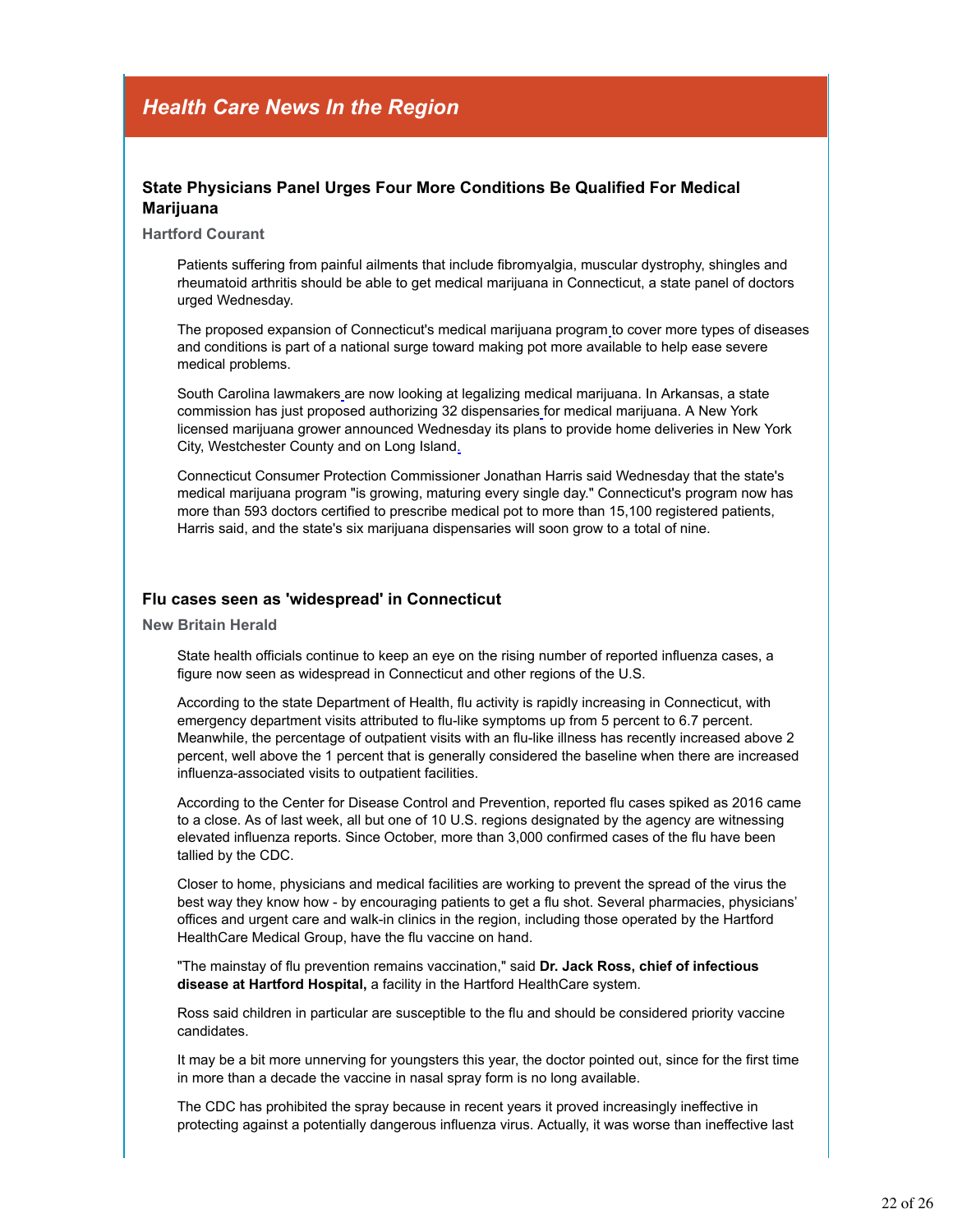# *Health Care News In the Region*

# **State Physicians Panel Urges Four More Conditions Be Qualified For Medical Marijuana**

#### **Hartford Courant**

Patients suffering from painful ailments that include fibromyalgia, muscular dystrophy, shingles and rheumatoid arthritis should be able to get medical marijuana in Connecticut, a state panel of doctors urged Wednesday.

The proposed expansion of Connecticut's medical marijuana program to cover more types of diseases and conditions is part of a national surge toward making pot more available to help ease severe medical problems.

South Carolina lawmakers are now looking at legalizing medical marijuana. In Arkansas, a state commission has just proposed authorizing 32 dispensaries for medical marijuana. A New York licensed marijuana grower announced Wednesday its plans to provide home deliveries in New York City, Westchester County and on Long Island.

Connecticut Consumer Protection Commissioner Jonathan Harris said Wednesday that the state's medical marijuana program "is growing, maturing every single day." Connecticut's program now has more than 593 doctors certified to prescribe medical pot to more than 15,100 registered patients, Harris said, and the state's six marijuana dispensaries will soon grow to a total of nine.

#### **Flu cases seen as 'widespread' in Connecticut**

**New Britain Herald**

State health officials continue to keep an eye on the rising number of reported influenza cases, a figure now seen as widespread in Connecticut and other regions of the U.S.

According to the state Department of Health, flu activity is rapidly increasing in Connecticut, with emergency department visits attributed to flu-like symptoms up from 5 percent to 6.7 percent. Meanwhile, the percentage of outpatient visits with an flu-like illness has recently increased above 2 percent, well above the 1 percent that is generally considered the baseline when there are increased influenza-associated visits to outpatient facilities.

According to the Center for Disease Control and Prevention, reported flu cases spiked as 2016 came to a close. As of last week, all but one of 10 U.S. regions designated by the agency are witnessing elevated influenza reports. Since October, more than 3,000 confirmed cases of the flu have been tallied by the CDC.

Closer to home, physicians and medical facilities are working to prevent the spread of the virus the best way they know how - by encouraging patients to get a flu shot. Several pharmacies, physicians' offices and urgent care and walk-in clinics in the region, including those operated by the Hartford HealthCare Medical Group, have the flu vaccine on hand.

"The mainstay of flu prevention remains vaccination," said **Dr. Jack Ross, chief of infectious disease at Hartford Hospital,** a facility in the Hartford HealthCare system.

Ross said children in particular are susceptible to the flu and should be considered priority vaccine candidates.

It may be a bit more unnerving for youngsters this year, the doctor pointed out, since for the first time in more than a decade the vaccine in nasal spray form is no long available.

The CDC has prohibited the spray because in recent years it proved increasingly ineffective in protecting against a potentially dangerous influenza virus. Actually, it was worse than ineffective last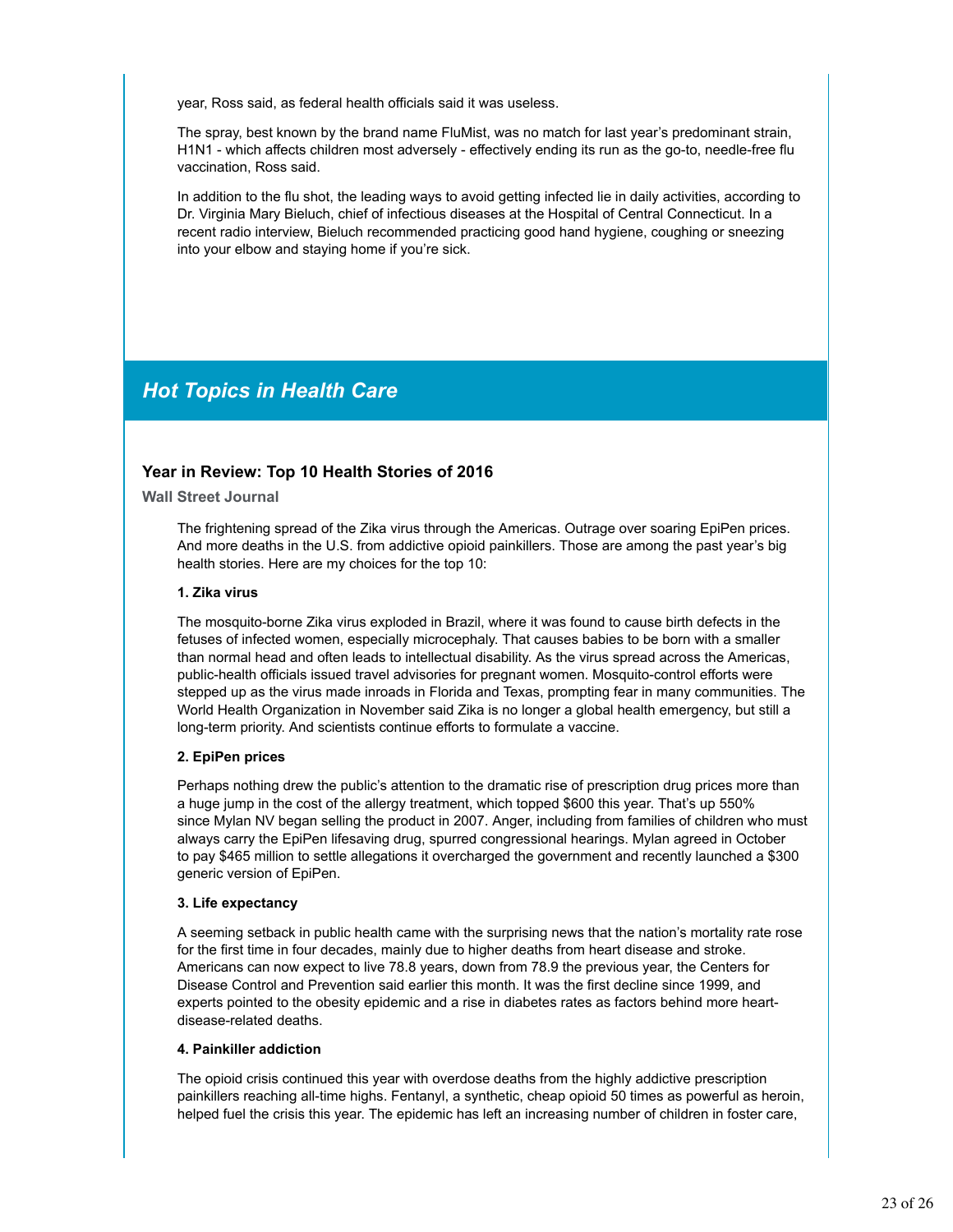year, Ross said, as federal health officials said it was useless.

The spray, best known by the brand name FluMist, was no match for last year's predominant strain, H1N1 - which affects children most adversely - effectively ending its run as the go-to, needle-free flu vaccination, Ross said.

In addition to the flu shot, the leading ways to avoid getting infected lie in daily activities, according to Dr. Virginia Mary Bieluch, chief of infectious diseases at the Hospital of Central Connecticut. In a recent radio interview, Bieluch recommended practicing good hand hygiene, coughing or sneezing into your elbow and staying home if you're sick.

# *Hot Topics in Health Care*

# **Year in Review: Top 10 Health Stories of 2016**

**Wall Street Journal**

The frightening spread of the Zika virus through the Americas. Outrage over soaring EpiPen prices. And more deaths in the U.S. from addictive opioid painkillers. Those are among the past year's big health stories. Here are my choices for the top 10:

#### **1. Zika virus**

The mosquito-borne Zika virus exploded in Brazil, where it was found to cause birth defects in the fetuses of infected women, especially microcephaly. That causes babies to be born with a smaller than normal head and often leads to intellectual disability. As the virus spread across the Americas, public-health officials issued travel advisories for pregnant women. Mosquito-control efforts were stepped up as the virus made inroads in Florida and Texas, prompting fear in many communities. The World Health Organization in November said Zika is no longer a global health emergency, but still a long-term priority. And scientists continue efforts to formulate a vaccine.

# **2. EpiPen prices**

Perhaps nothing drew the public's attention to the dramatic rise of prescription drug prices more than a huge jump in the cost of the allergy treatment, which topped \$600 this year. That's up 550% since Mylan NV began selling the product in 2007. Anger, including from families of children who must always carry the EpiPen lifesaving drug, spurred congressional hearings. Mylan agreed in October to pay \$465 million to settle allegations it overcharged the government and recently launched a \$300 generic version of EpiPen.

# **3. Life expectancy**

A seeming setback in public health came with the surprising news that the nation's mortality rate rose for the first time in four decades, mainly due to higher deaths from heart disease and stroke. Americans can now expect to live 78.8 years, down from 78.9 the previous year, the Centers for Disease Control and Prevention said earlier this month. It was the first decline since 1999, and experts pointed to the obesity epidemic and a rise in diabetes rates as factors behind more heartdisease-related deaths.

# **4. Painkiller addiction**

The opioid crisis continued this year with overdose deaths from the highly addictive prescription painkillers reaching all-time highs. Fentanyl, a synthetic, cheap opioid 50 times as powerful as heroin, helped fuel the crisis this year. The epidemic has left an increasing number of children in foster care,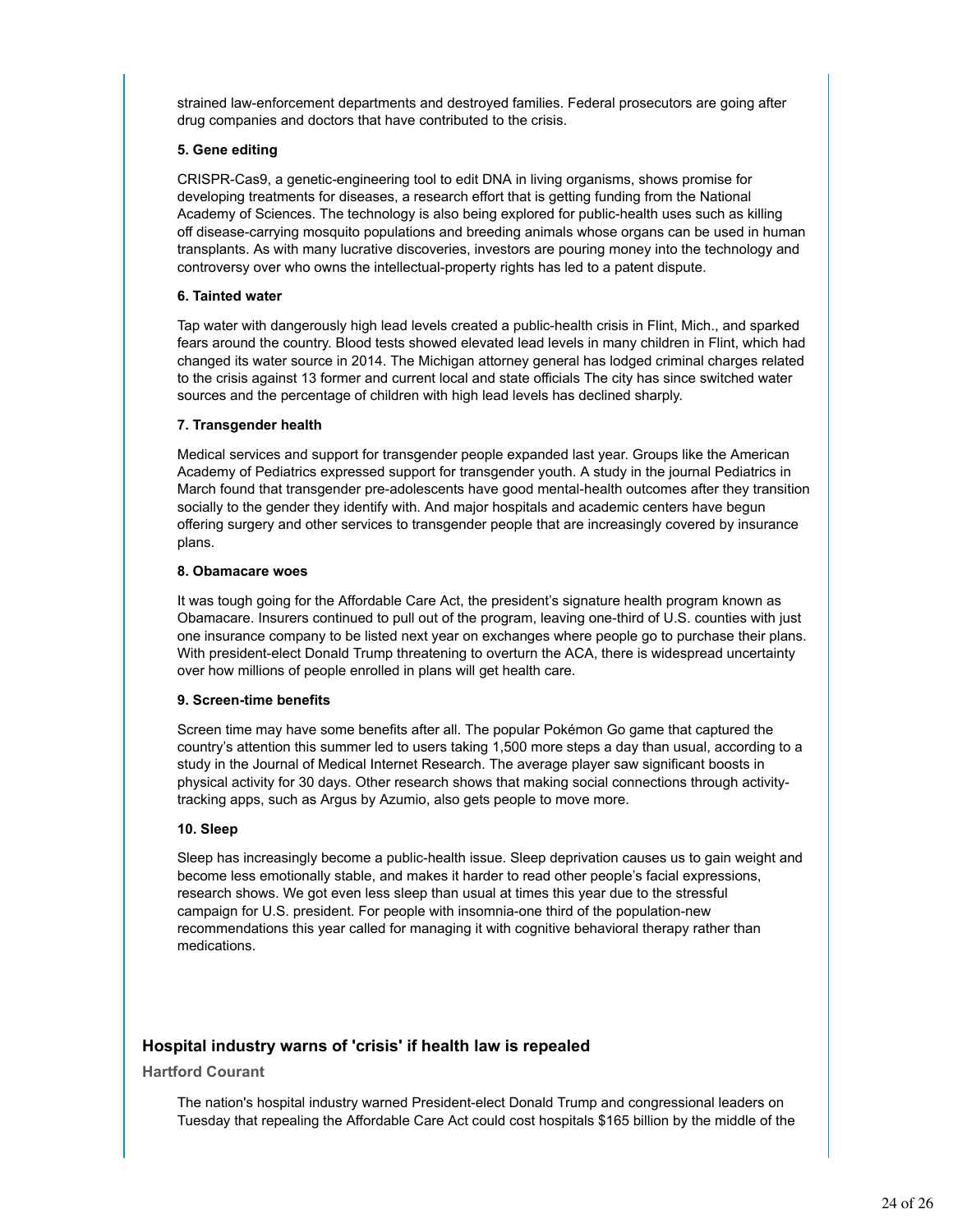strained law-enforcement departments and destroyed families. Federal prosecutors are going after drug companies and doctors that have contributed to the crisis.

### **5. Gene editing**

CRISPR-Cas9, a genetic-engineering tool to edit DNA in living organisms, shows promise for developing treatments for diseases, a research effort that is getting funding from the National Academy of Sciences. The technology is also being explored for public-health uses such as killing off disease-carrying mosquito populations and breeding animals whose organs can be used in human transplants. As with many lucrative discoveries, investors are pouring money into the technology and controversy over who owns the intellectual-property rights has led to a patent dispute.

#### **6. Tainted water**

Tap water with dangerously high lead levels created a public-health crisis in Flint, Mich., and sparked fears around the country. Blood tests showed elevated lead levels in many children in Flint, which had changed its water source in 2014. The Michigan attorney general has lodged criminal charges related to the crisis against 13 former and current local and state officials The city has since switched water sources and the percentage of children with high lead levels has declined sharply.

#### **7. Transgender health**

Medical services and support for transgender people expanded last year. Groups like the American Academy of Pediatrics expressed support for transgender youth. A study in the journal Pediatrics in March found that transgender pre-adolescents have good mental-health outcomes after they transition socially to the gender they identify with. And major hospitals and academic centers have begun offering surgery and other services to transgender people that are increasingly covered by insurance plans.

#### **8. Obamacare woes**

It was tough going for the Affordable Care Act, the president's signature health program known as Obamacare. Insurers continued to pull out of the program, leaving one-third of U.S. counties with just one insurance company to be listed next year on exchanges where people go to purchase their plans. With president-elect Donald Trump threatening to overturn the ACA, there is widespread uncertainty over how millions of people enrolled in plans will get health care.

#### **9. Screen-time benefits**

Screen time may have some benefits after all. The popular Pokémon Go game that captured the country's attention this summer led to users taking 1,500 more steps a day than usual, according to a study in the Journal of Medical Internet Research. The average player saw significant boosts in physical activity for 30 days. Other research shows that making social connections through activitytracking apps, such as Argus by Azumio, also gets people to move more.

# **10. Sleep**

Sleep has increasingly become a public-health issue. Sleep deprivation causes us to gain weight and become less emotionally stable, and makes it harder to read other people's facial expressions, research shows. We got even less sleep than usual at times this year due to the stressful campaign for U.S. president. For people with insomnia-one third of the population-new recommendations this year called for managing it with cognitive behavioral therapy rather than medications.

# **Hospital industry warns of 'crisis' if health law is repealed**

# **Hartford Courant**

The nation's hospital industry warned President-elect Donald Trump and congressional leaders on Tuesday that repealing the Affordable Care Act could cost hospitals \$165 billion by the middle of the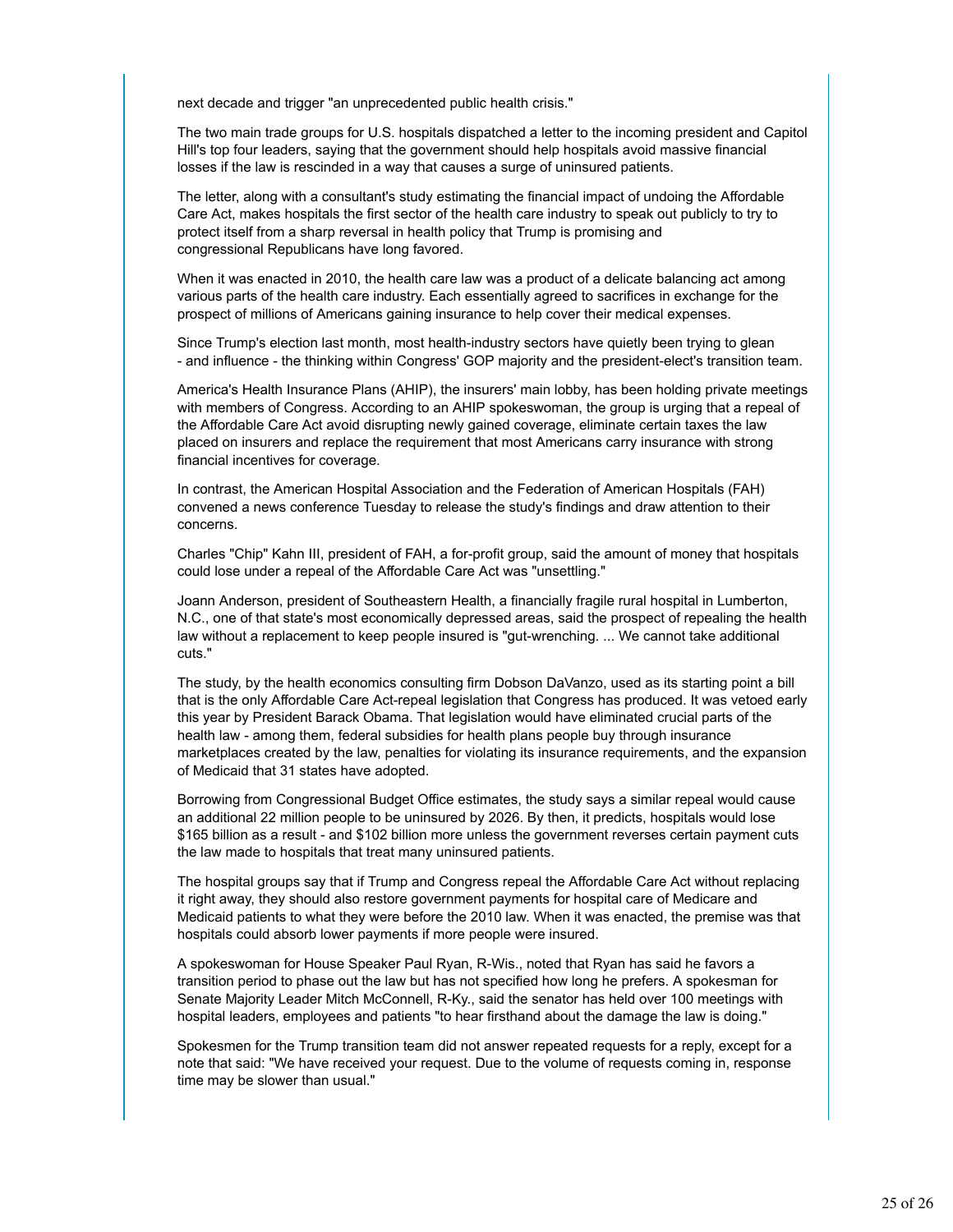next decade and trigger "an unprecedented public health crisis."

The two main trade groups for U.S. hospitals dispatched a letter to the incoming president and Capitol Hill's top four leaders, saying that the government should help hospitals avoid massive financial losses if the law is rescinded in a way that causes a surge of uninsured patients.

The letter, along with a consultant's study estimating the financial impact of undoing the Affordable Care Act, makes hospitals the first sector of the health care industry to speak out publicly to try to protect itself from a sharp reversal in health policy that Trump is promising and congressional Republicans have long favored.

When it was enacted in 2010, the health care law was a product of a delicate balancing act among various parts of the health care industry. Each essentially agreed to sacrifices in exchange for the prospect of millions of Americans gaining insurance to help cover their medical expenses.

Since Trump's election last month, most health-industry sectors have quietly been trying to glean - and influence - the thinking within Congress' GOP majority and the president-elect's transition team.

America's Health Insurance Plans (AHIP), the insurers' main lobby, has been holding private meetings with members of Congress. According to an AHIP spokeswoman, the group is urging that a repeal of the Affordable Care Act avoid disrupting newly gained coverage, eliminate certain taxes the law placed on insurers and replace the requirement that most Americans carry insurance with strong financial incentives for coverage.

In contrast, the American Hospital Association and the Federation of American Hospitals (FAH) convened a news conference Tuesday to release the study's findings and draw attention to their concerns.

Charles "Chip" Kahn III, president of FAH, a for-profit group, said the amount of money that hospitals could lose under a repeal of the Affordable Care Act was "unsettling."

Joann Anderson, president of Southeastern Health, a financially fragile rural hospital in Lumberton, N.C., one of that state's most economically depressed areas, said the prospect of repealing the health law without a replacement to keep people insured is "gut-wrenching. ... We cannot take additional cuts."

The study, by the health economics consulting firm Dobson DaVanzo, used as its starting point a bill that is the only Affordable Care Act-repeal legislation that Congress has produced. It was vetoed early this year by President Barack Obama. That legislation would have eliminated crucial parts of the health law - among them, federal subsidies for health plans people buy through insurance marketplaces created by the law, penalties for violating its insurance requirements, and the expansion of Medicaid that 31 states have adopted.

Borrowing from Congressional Budget Office estimates, the study says a similar repeal would cause an additional 22 million people to be uninsured by 2026. By then, it predicts, hospitals would lose \$165 billion as a result - and \$102 billion more unless the government reverses certain payment cuts the law made to hospitals that treat many uninsured patients.

The hospital groups say that if Trump and Congress repeal the Affordable Care Act without replacing it right away, they should also restore government payments for hospital care of Medicare and Medicaid patients to what they were before the 2010 law. When it was enacted, the premise was that hospitals could absorb lower payments if more people were insured.

A spokeswoman for House Speaker Paul Ryan, R-Wis., noted that Ryan has said he favors a transition period to phase out the law but has not specified how long he prefers. A spokesman for Senate Majority Leader Mitch McConnell, R-Ky., said the senator has held over 100 meetings with hospital leaders, employees and patients "to hear firsthand about the damage the law is doing."

Spokesmen for the Trump transition team did not answer repeated requests for a reply, except for a note that said: "We have received your request. Due to the volume of requests coming in, response time may be slower than usual."